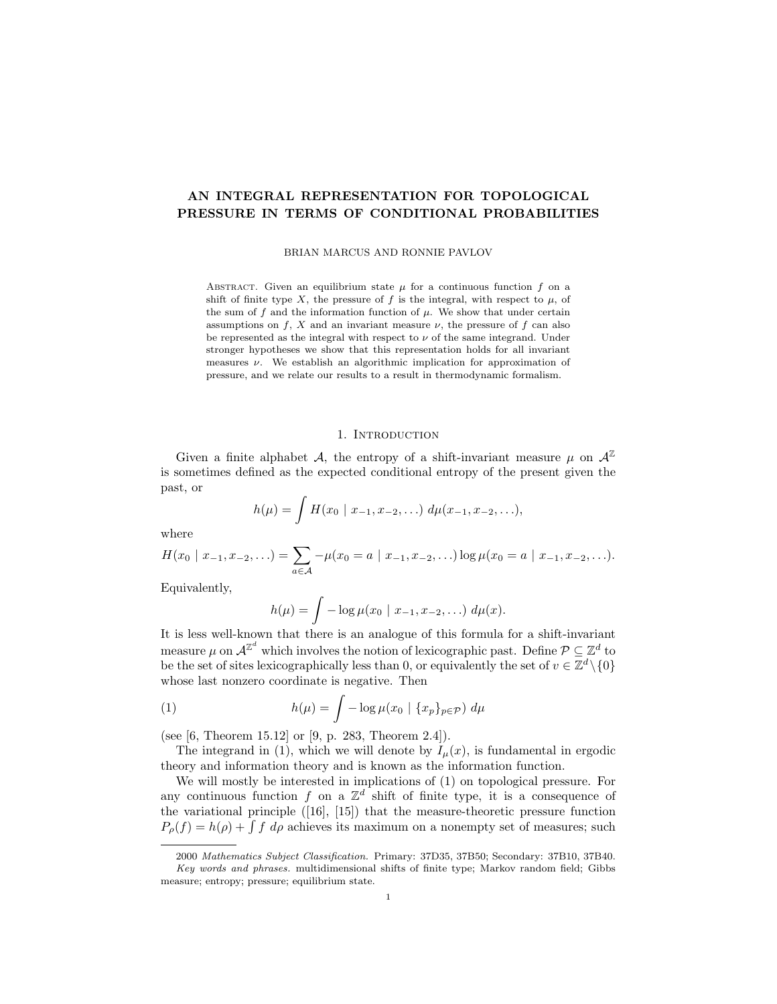# **AN INTEGRAL REPRESENTATION FOR TOPOLOGICAL PRESSURE IN TERMS OF CONDITIONAL PROBABILITIES**

BRIAN MARCUS AND RONNIE PAVLOV

ABSTRACT. Given an equilibrium state  $\mu$  for a continuous function  $f$  on a shift of finite type *X*, the pressure of  $f$  is the integral, with respect to  $\mu$ , of the sum of  $f$  and the information function of  $\mu$ . We show that under certain assumptions on  $f$ ,  $X$  and an invariant measure  $\nu$ , the pressure of  $f$  can also be represented as the integral with respect to  $\nu$  of the same integrand. Under stronger hypotheses we show that this representation holds for all invariant measures *ν*. We establish an algorithmic implication for approximation of pressure, and we relate our results to a result in thermodynamic formalism.

#### 1. INTRODUCTION

Given a finite alphabet *A*, the entropy of a shift-invariant measure  $\mu$  on  $\mathcal{A}^{\mathbb{Z}}$ is sometimes defined as the expected conditional entropy of the present given the past, or

$$
h(\mu) = \int H(x_0 \mid x_{-1}, x_{-2}, \ldots) d\mu(x_{-1}, x_{-2}, \ldots),
$$

where

$$
H(x_0 \mid x_{-1}, x_{-2}, \ldots) = \sum_{a \in \mathcal{A}} -\mu(x_0 = a \mid x_{-1}, x_{-2}, \ldots) \log \mu(x_0 = a \mid x_{-1}, x_{-2}, \ldots).
$$

Equivalently,

$$
h(\mu) = \int -\log \mu(x_0 \mid x_{-1}, x_{-2}, \ldots) d\mu(x).
$$

It is less well-known that there is an analogue of this formula for a shift-invariant measure  $\mu$  on  $\mathcal{A}^{\mathbb{Z}^d}$  which involves the notion of lexicographic past. Define  $\mathcal{P} \subseteq \mathbb{Z}^d$  to be the set of sites lexicographically less than 0, or equivalently the set of  $v \in \mathbb{Z}^d \setminus \{0\}$ whose last nonzero coordinate is negative. Then

(1) 
$$
h(\mu) = \int -\log \mu(x_0 \mid \{x_p\}_{p \in \mathcal{P}}) d\mu
$$

(see [6, Theorem 15.12] or [9, p. 283, Theorem 2.4]).

The integrand in (1), which we will denote by  $I_{\mu}(x)$ , is fundamental in ergodic theory and information theory and is known as the information function.

We will mostly be interested in implications of (1) on topological pressure. For any continuous function  $f$  on a  $\mathbb{Z}^d$  shift of finite type, it is a consequence of the variational principle ([16], [15]) that the measure-theoretic pressure function  $P_{\rho}(f) = h(\rho) + \int f d\rho$  achieves its maximum on a nonempty set of measures; such

<sup>2000</sup> *Mathematics Subject Classification.* Primary: 37D35, 37B50; Secondary: 37B10, 37B40. *Key words and phrases.* multidimensional shifts of finite type; Markov random field; Gibbs measure; entropy; pressure; equilibrium state.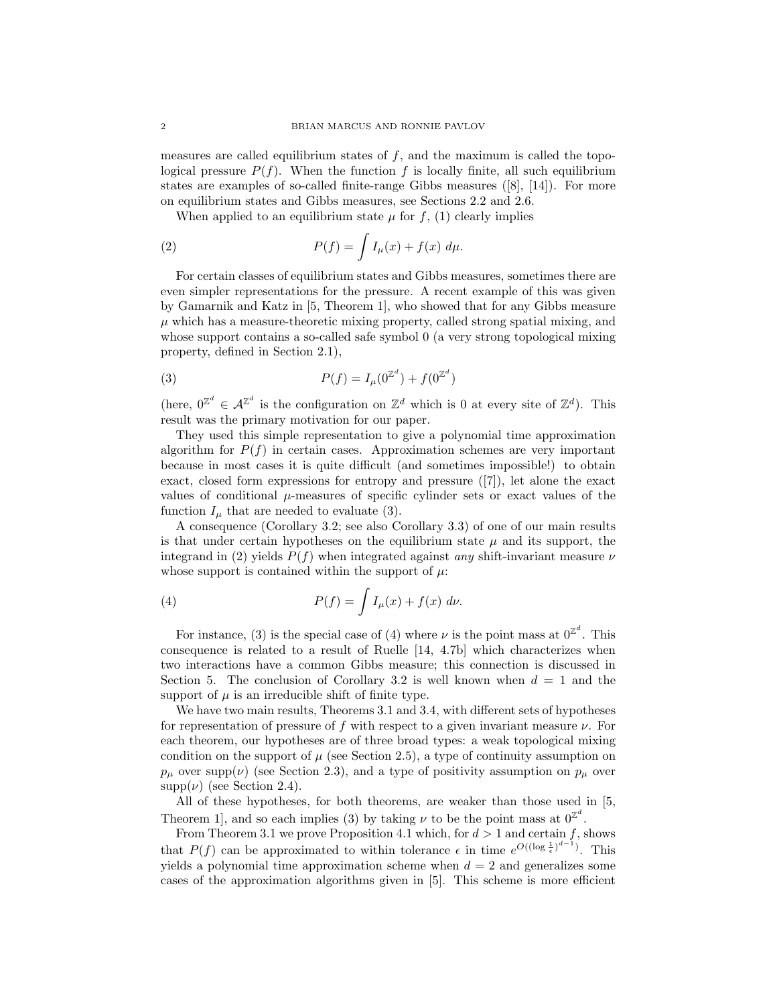measures are called equilibrium states of  $f$ , and the maximum is called the topological pressure  $P(f)$ . When the function f is locally finite, all such equilibrium states are examples of so-called finite-range Gibbs measures  $([8], [14])$ . For more on equilibrium states and Gibbs measures, see Sections 2.2 and 2.6.

When applied to an equilibrium state  $\mu$  for  $f$ , (1) clearly implies

(2) 
$$
P(f) = \int I_{\mu}(x) + f(x) d\mu.
$$

For certain classes of equilibrium states and Gibbs measures, sometimes there are even simpler representations for the pressure. A recent example of this was given by Gamarnik and Katz in [5, Theorem 1], who showed that for any Gibbs measure  $\mu$  which has a measure-theoretic mixing property, called strong spatial mixing, and whose support contains a so-called safe symbol 0 (a very strong topological mixing property, defined in Section 2.1),

(3) 
$$
P(f) = I_{\mu}(0^{\mathbb{Z}^d}) + f(0^{\mathbb{Z}^d})
$$

(here,  $0^{\mathbb{Z}^d} \in \mathcal{A}^{\mathbb{Z}^d}$  is the configuration on  $\mathbb{Z}^d$  which is 0 at every site of  $\mathbb{Z}^d$ ). This result was the primary motivation for our paper.

They used this simple representation to give a polynomial time approximation algorithm for  $P(f)$  in certain cases. Approximation schemes are very important because in most cases it is quite difficult (and sometimes impossible!) to obtain exact, closed form expressions for entropy and pressure ([7]), let alone the exact values of conditional  $\mu$ -measures of specific cylinder sets or exact values of the function  $I_\mu$  that are needed to evaluate (3).

A consequence (Corollary 3.2; see also Corollary 3.3) of one of our main results is that under certain hypotheses on the equilibrium state  $\mu$  and its support, the integrand in (2) yields  $P(f)$  when integrated against *any* shift-invariant measure  $\nu$ whose support is contained within the support of  $\mu$ :

(4) 
$$
P(f) = \int I_{\mu}(x) + f(x) d\nu.
$$

For instance, (3) is the special case of (4) where  $\nu$  is the point mass at  $0^{\mathbb{Z}^d}$ . This consequence is related to a result of Ruelle [14, 4.7b] which characterizes when two interactions have a common Gibbs measure; this connection is discussed in Section 5. The conclusion of Corollary 3.2 is well known when  $d = 1$  and the support of  $\mu$  is an irreducible shift of finite type.

We have two main results, Theorems 3.1 and 3.4, with different sets of hypotheses for representation of pressure of *f* with respect to a given invariant measure *ν*. For each theorem, our hypotheses are of three broad types: a weak topological mixing condition on the support of  $\mu$  (see Section 2.5), a type of continuity assumption on  $p_{\mu}$  over supp( $\nu$ ) (see Section 2.3), and a type of positivity assumption on  $p_{\mu}$  over  $supp(\nu)$  (see Section 2.4).

All of these hypotheses, for both theorems, are weaker than those used in [5, Theorem 1, and so each implies (3) by taking  $\nu$  to be the point mass at  $0^{\mathbb{Z}^d}$ .

From Theorem 3.1 we prove Proposition 4.1 which, for  $d > 1$  and certain  $f$ , shows that  $P(f)$  can be approximated to within tolerance  $\epsilon$  in time  $e^{O((\log \frac{1}{\epsilon})^{d-1})}$ . This yields a polynomial time approximation scheme when  $d = 2$  and generalizes some cases of the approximation algorithms given in [5]. This scheme is more efficient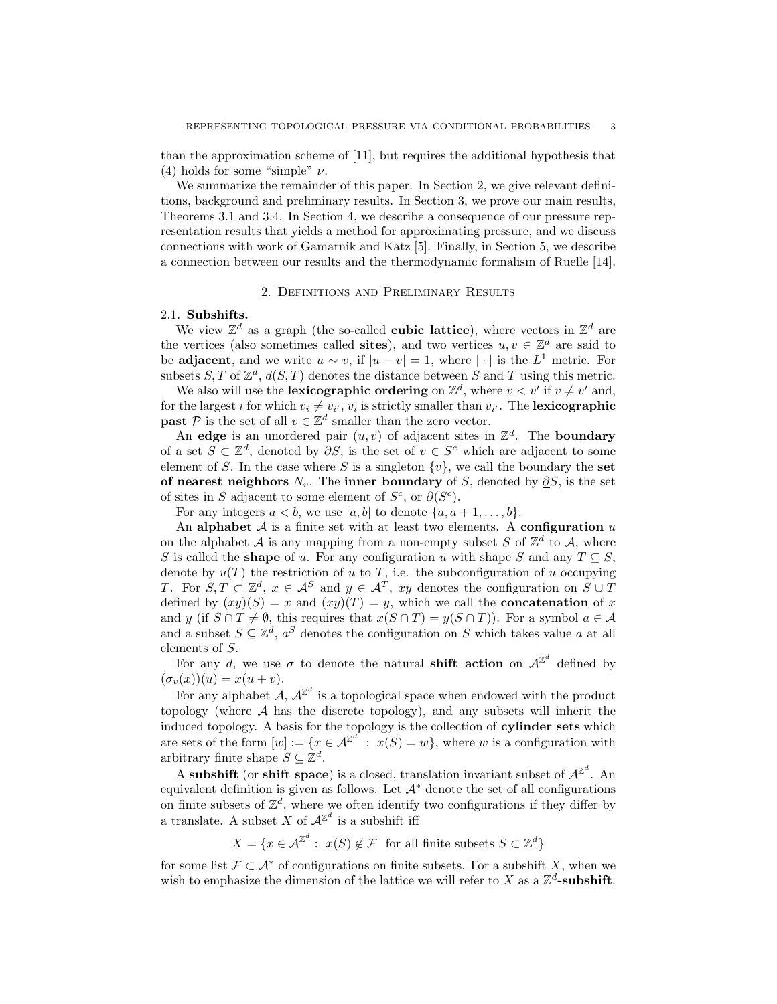than the approximation scheme of [11], but requires the additional hypothesis that (4) holds for some "simple" *ν*.

We summarize the remainder of this paper. In Section 2, we give relevant definitions, background and preliminary results. In Section 3, we prove our main results, Theorems 3.1 and 3.4. In Section 4, we describe a consequence of our pressure representation results that yields a method for approximating pressure, and we discuss connections with work of Gamarnik and Katz [5]. Finally, in Section 5, we describe a connection between our results and the thermodynamic formalism of Ruelle [14].

### 2. Definitions and Preliminary Results

## 2.1. **Subshifts.**

We view  $\mathbb{Z}^d$  as a graph (the so-called **cubic lattice**), where vectors in  $\mathbb{Z}^d$  are the vertices (also sometimes called **sites**), and two vertices  $u, v \in \mathbb{Z}^d$  are said to be **adjacent**, and we write  $u \sim v$ , if  $|u - v| = 1$ , where  $|\cdot|$  is the  $L^1$  metric. For subsets  $S, T$  of  $\mathbb{Z}^d$ ,  $d(S, T)$  denotes the distance between  $S$  and  $T$  using this metric.

We also will use the **lexicographic ordering** on  $\mathbb{Z}^d$ , where  $v < v'$  if  $v \neq v'$  and, for the largest *i* for which  $v_i \neq v_{i'}, v_i$  is strictly smaller than  $v_{i'}$ . The **lexicographic past**  $P$  is the set of all  $v \in \mathbb{Z}^d$  smaller than the zero vector.

An **edge** is an unordered pair  $(u, v)$  of adjacent sites in  $\mathbb{Z}^d$ . The **boundary** of a set  $S \subset \mathbb{Z}^d$ , denoted by  $\partial S$ , is the set of  $v \in S^c$  which are adjacent to some element of *S*. In the case where *S* is a singleton  $\{v\}$ , we call the boundary the set **of nearest neighbors**  $N_v$ . The **inner boundary** of *S*, denoted by  $\partial S$ , is the set of sites in *S* adjacent to some element of  $S^c$ , or  $\partial(S^c)$ .

For any integers  $a < b$ , we use [a, b] to denote  $\{a, a+1, \ldots, b\}$ .

An **alphabet** *A* is a finite set with at least two elements. A **configuration** *u* on the alphabet  $A$  is any mapping from a non-empty subset  $S$  of  $\mathbb{Z}^d$  to  $A$ , where *S* is called the **shape** of *u*. For any configuration *u* with shape *S* and any  $T \subseteq S$ , denote by  $u(T)$  the restriction of *u* to *T*, i.e. the subconfiguration of *u* occupying *T*. For  $S, T \subset \mathbb{Z}^d$ ,  $x \in A^S$  and  $y \in A^T$ ,  $xy$  denotes the configuration on  $S \cup T$ defined by  $(xy)(S) = x$  and  $(xy)(T) = y$ , which we call the **concatenation** of x and *y* (if  $S \cap T \neq \emptyset$ , this requires that  $x(S \cap T) = y(S \cap T)$ ). For a symbol  $a \in A$ and a subset  $S \subseteq \mathbb{Z}^d$ ,  $a^S$  denotes the configuration on *S* which takes value *a* at all elements of *S*.

For any *d*, we use  $\sigma$  to denote the natural **shift action** on  $A^{\mathbb{Z}^d}$  defined by  $(\sigma_v(x))(u) = x(u+v).$ 

For any alphabet  $A, A^{\mathbb{Z}^d}$  is a topological space when endowed with the product topology (where *A* has the discrete topology), and any subsets will inherit the induced topology. A basis for the topology is the collection of **cylinder sets** which are sets of the form  $[w] := \{x \in \mathcal{A}^{\mathbb{Z}^d} : x(S) = w\}$ , where *w* is a configuration with arbitrary finite shape  $S \subseteq \mathbb{Z}^d$ .

A subshift (or shift space) is a closed, translation invariant subset of  $A^{\mathbb{Z}^d}$ . An equivalent definition is given as follows. Let *A<sup>∗</sup>* denote the set of all configurations on finite subsets of  $\mathbb{Z}^d$ , where we often identify two configurations if they differ by a translate. A subset *X* of  $A^{\mathbb{Z}^d}$  is a subshift iff

 $X = \{x \in \mathcal{A}^{\mathbb{Z}^d} : x(S) \notin \mathcal{F} \text{ for all finite subsets } S \subset \mathbb{Z}^d\}$ 

for some list  $\mathcal{F} \subset \mathcal{A}^*$  of configurations on finite subsets. For a subshift *X*, when we wish to emphasize the dimension of the lattice we will refer to *X* as a  $\mathbb{Z}^d$ -subshift.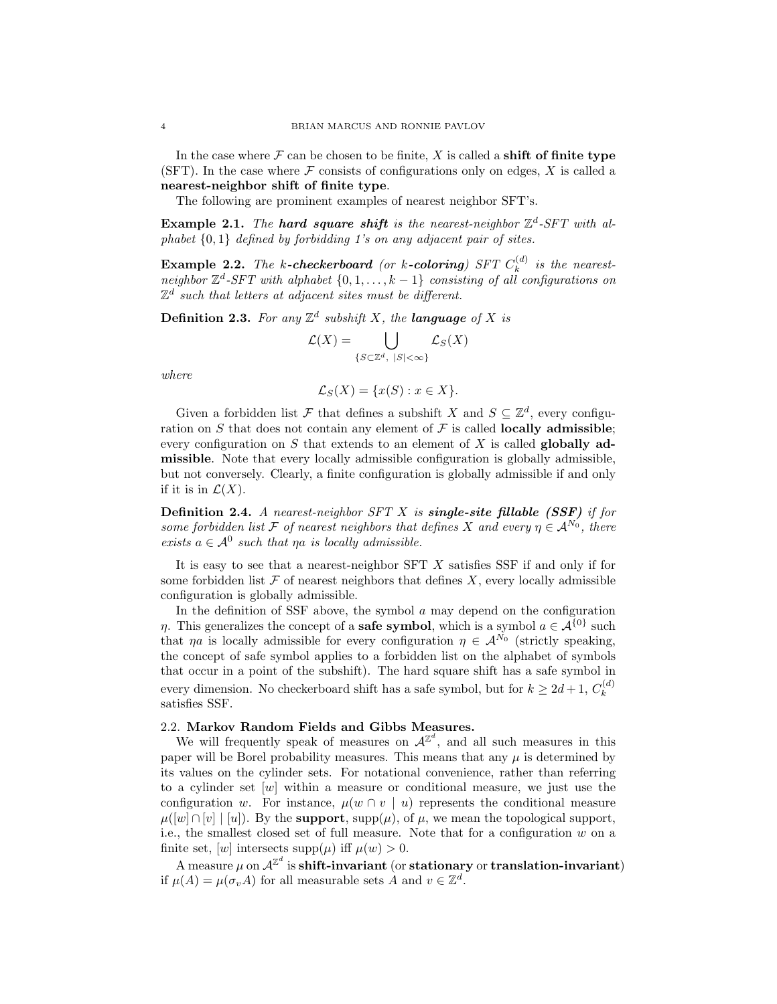In the case where  $\mathcal F$  can be chosen to be finite,  $X$  is called a **shift of finite type** (SFT). In the case where  $\mathcal F$  consists of configurations only on edges,  $X$  is called a **nearest-neighbor shift of finite type**.

The following are prominent examples of nearest neighbor SFT's.

**Example 2.1.** *The hard square shift is the nearest-neighbor*  $\mathbb{Z}^d$ -SFT with al*phabet {*0*,* 1*} defined by forbidding 1's on any adjacent pair of sites.*

**Example 2.2.** *The k*-checkerboard (or *k*-coloring) SFT  $C_k^{(d)}$  $\binom{a}{k}$  *is the nearestneighbor*  $\mathbb{Z}^d$ -*SFT* with alphabet  $\{0, 1, \ldots, k-1\}$  consisting of all configurations on  $\mathbb{Z}^d$  such that letters at adjacent sites must be different.

**Definition 2.3.** For any  $\mathbb{Z}^d$  subshift X, the **language** of X is

$$
\mathcal{L}(X) = \bigcup_{\{S \subset \mathbb{Z}^d, \ |S| < \infty\}} \mathcal{L}_S(X)
$$

*where*

$$
\mathcal{L}_S(X) = \{x(S) : x \in X\}.
$$

Given a forbidden list  $\mathcal F$  that defines a subshift  $X$  and  $S \subseteq \mathbb{Z}^d$ , every configuration on  $S$  that does not contain any element of  $\mathcal F$  is called **locally admissible**; every configuration on *S* that extends to an element of *X* is called **globally admissible**. Note that every locally admissible configuration is globally admissible, but not conversely. Clearly, a finite configuration is globally admissible if and only if it is in  $\mathcal{L}(X)$ .

**Definition 2.4.** *A nearest-neighbor SFT X is single-site fillable (SSF) if for some forbidden list*  $\mathcal F$  *of nearest neighbors that defines*  $X$  *and every*  $\eta \in A^{N_0}$ , *there exists*  $a \in A^0$  *such that*  $\eta a$  *is locally admissible.* 

It is easy to see that a nearest-neighbor SFT *X* satisfies SSF if and only if for some forbidden list  $\mathcal F$  of nearest neighbors that defines  $X$ , every locally admissible configuration is globally admissible.

In the definition of SSF above, the symbol *a* may depend on the configuration *η*. This generalizes the concept of a **safe symbol**, which is a symbol  $a \in A^{\{0\}}$  such that *ηa* is locally admissible for every configuration  $\eta \in A^{N_0}$  (strictly speaking, the concept of safe symbol applies to a forbidden list on the alphabet of symbols that occur in a point of the subshift). The hard square shift has a safe symbol in every dimension. No checkerboard shift has a safe symbol, but for  $k \geq 2d+1$ ,  $C_k^{(d)}$ *k* satisfies SSF.

## 2.2. **Markov Random Fields and Gibbs Measures.**

We will frequently speak of measures on  $A^{\mathbb{Z}^d}$ , and all such measures in this paper will be Borel probability measures. This means that any  $\mu$  is determined by its values on the cylinder sets. For notational convenience, rather than referring to a cylinder set [*w*] within a measure or conditional measure, we just use the configuration *w*. For instance,  $\mu(w \cap v \mid u)$  represents the conditional measure  $\mu([w] \cap [v] \mid [u])$ . By the **support**, supp $(\mu)$ , of  $\mu$ , we mean the topological support, i.e., the smallest closed set of full measure. Note that for a configuration *w* on a finite set,  $[w]$  intersects supp $(\mu)$  iff  $\mu(w) > 0$ .

A measure  $\mu$  on  $\mathcal{A}^{\mathbb{Z}^d}$  is  $\mathbf{shift-invariant}$  (or  $\mathbf{stationary}$  or  $\mathbf{translation-invariant})$ if  $\mu(A) = \mu(\sigma_v A)$  for all measurable sets *A* and  $v \in \mathbb{Z}^d$ .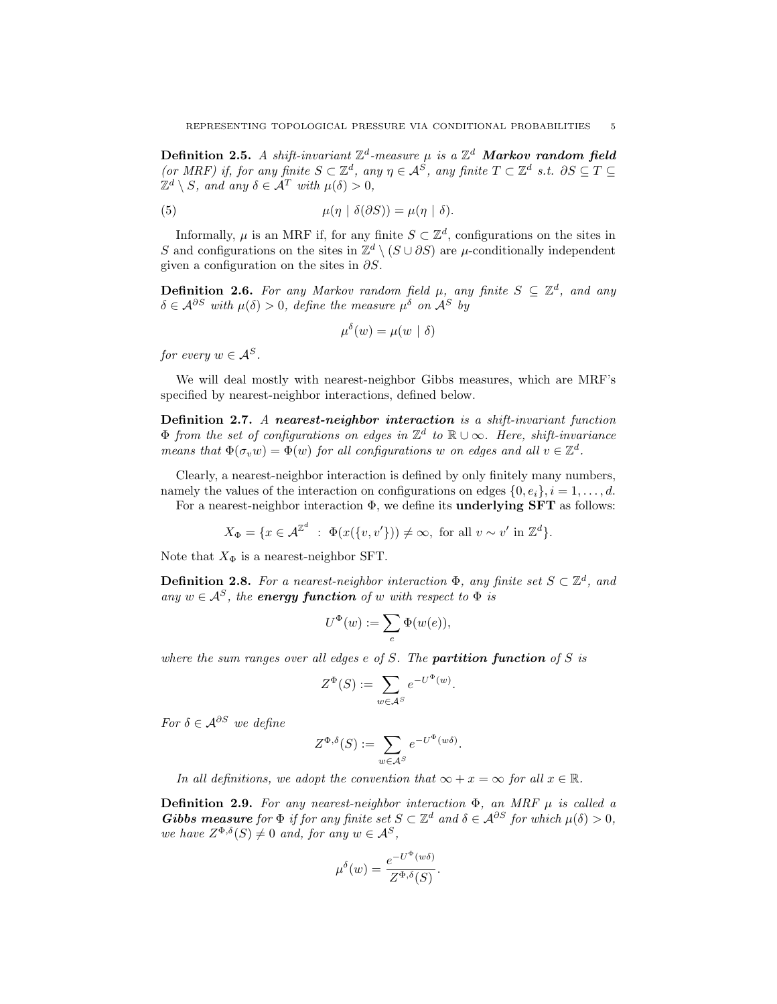$\mathbf{Definition 2.5.}$  *A shift-invariant*  $\mathbb{Z}^d$ -measure  $\mu$  *is a*  $\mathbb{Z}^d$  **Markov random field** *(or MRF)* if, for any finite  $S \subset \mathbb{Z}^d$ , any  $\eta \in \mathcal{A}^S$ , any finite  $T \subset \mathbb{Z}^d$  *s.t.*  $\partial S \subseteq T \subseteq$  $\mathbb{Z}^d \setminus S$ *, and any*  $\delta \in \mathcal{A}^T$  *with*  $\mu(\delta) > 0$ *,* 

(5) 
$$
\mu(\eta \mid \delta(\partial S)) = \mu(\eta \mid \delta).
$$

Informally,  $\mu$  is an MRF if, for any finite  $S \subset \mathbb{Z}^d$ , configurations on the sites in *S* and configurations on the sites in  $\mathbb{Z}^d \setminus (S \cup \partial S)$  are  $\mu$ -conditionally independent given a configuration on the sites in *∂S*.

**Definition 2.6.** For any Markov random field  $\mu$ , any finite  $S \subseteq \mathbb{Z}^d$ , and any  $\delta \in \mathcal{A}^{\partial S}$  *with*  $\mu(\delta) > 0$ , *define the measure*  $\mu^{\delta}$  *on*  $\mathcal{A}^{S}$  *by* 

$$
\mu^{\delta}(w) = \mu(w \mid \delta)
$$

*for every*  $w \in A^S$ .

We will deal mostly with nearest-neighbor Gibbs measures, which are MRF's specified by nearest-neighbor interactions, defined below.

**Definition 2.7.** *A nearest-neighbor interaction is a shift-invariant function* Φ *from the set of configurations on edges in* Z *d to* R *∪ ∞. Here, shift-invariance means that*  $\Phi(\sigma_v w) = \Phi(w)$  *for all configurations w on edges and all*  $v \in \mathbb{Z}^d$ .

Clearly, a nearest-neighbor interaction is defined by only finitely many numbers, namely the values of the interaction on configurations on edges  $\{0, e_i\}$ ,  $i = 1, \ldots, d$ .

For a nearest-neighbor interaction Φ, we define its **underlying SFT** as follows:

$$
X_{\Phi} = \{ x \in \mathcal{A}^{\mathbb{Z}^d} \; : \; \Phi(x(\{v, v'\})) \neq \infty, \text{ for all } v \sim v' \text{ in } \mathbb{Z}^d \}.
$$

Note that  $X_{\Phi}$  is a nearest-neighbor SFT.

**Definition 2.8.** For a nearest-neighbor interaction  $\Phi$ , any finite set  $S \subset \mathbb{Z}^d$ , and *any*  $w \in A^S$ , the **energy function** of w with respect to  $\Phi$  *is* 

$$
U^{\Phi}(w) := \sum_{e} \Phi(w(e)),
$$

*where the sum ranges over all edges e of S. The partition function of S is*

$$
Z^{\Phi}(S) := \sum_{w \in \mathcal{A}^S} e^{-U^{\Phi}(w)}
$$

*.*

*For*  $\delta \in A^{\partial S}$  *we define* 

$$
Z^{\Phi,\delta}(S) := \sum_{w \in \mathcal{A}^S} e^{-U^{\Phi}(w\delta)}.
$$

*In all definitions, we adopt the convention that*  $\infty + x = \infty$  *for all*  $x \in \mathbb{R}$ *.* 

**Definition 2.9.** *For any nearest-neighbor interaction* Φ*, an MRF µ is called a Gibbs measure for*  $\Phi$  *if for any finite set*  $S \subset \mathbb{Z}^d$  *and*  $\delta \in \mathcal{A}^{\partial S}$  *for which*  $\mu(\delta) > 0$ *, we have*  $Z^{\Phi, \delta}(S) \neq 0$  *and, for any*  $w \in A^S$ *,* 

$$
\mu^{\delta}(w) = \frac{e^{-U^{\Phi}(w\delta)}}{Z^{\Phi,\delta}(S)}.
$$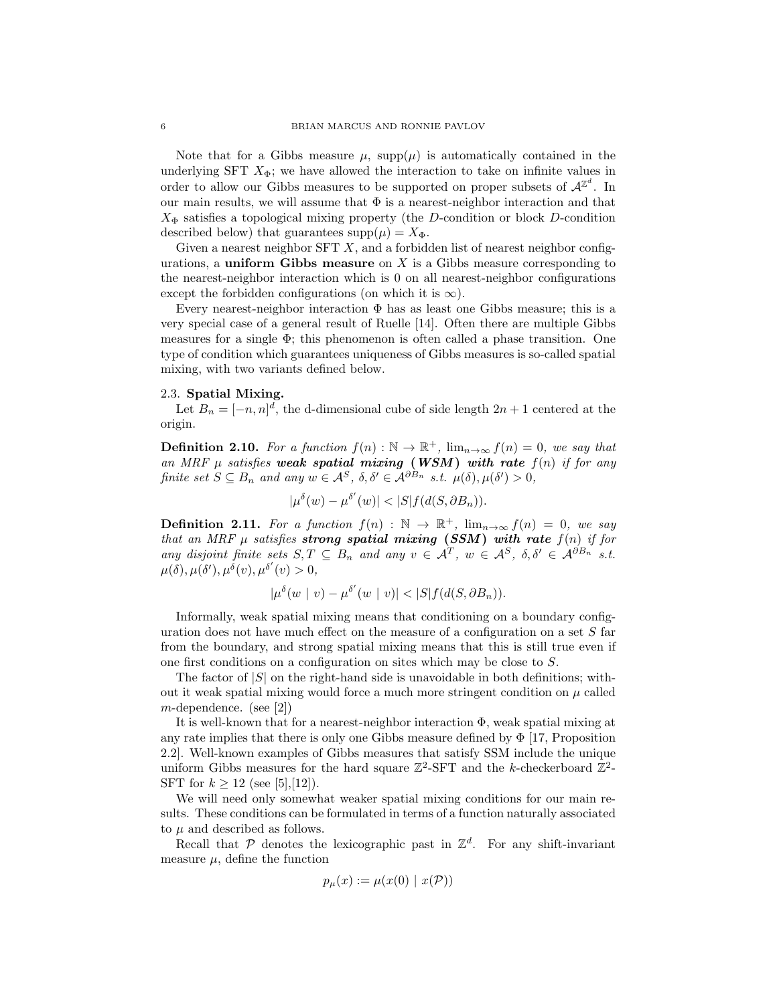Note that for a Gibbs measure  $\mu$ , supp $(\mu)$  is automatically contained in the underlying SFT  $X_{\Phi}$ ; we have allowed the interaction to take on infinite values in order to allow our Gibbs measures to be supported on proper subsets of  $A^{\mathbb{Z}^d}$ . In our main results, we will assume that  $\Phi$  is a nearest-neighbor interaction and that *X*<sup>Φ</sup> satisfies a topological mixing property (the *D*-condition or block *D*-condition described below) that guarantees  $\text{supp}(\mu) = X_{\Phi}$ .

Given a nearest neighbor SFT *X*, and a forbidden list of nearest neighbor configurations, a **uniform Gibbs measure** on *X* is a Gibbs measure corresponding to the nearest-neighbor interaction which is 0 on all nearest-neighbor configurations except the forbidden configurations (on which it is  $\infty$ ).

Every nearest-neighbor interaction  $\Phi$  has as least one Gibbs measure; this is a very special case of a general result of Ruelle [14]. Often there are multiple Gibbs measures for a single  $\Phi$ ; this phenomenon is often called a phase transition. One type of condition which guarantees uniqueness of Gibbs measures is so-called spatial mixing, with two variants defined below.

#### 2.3. **Spatial Mixing.**

Let  $B_n = [-n, n]^d$ , the d-dimensional cube of side length  $2n + 1$  centered at the origin.

**Definition 2.10.** For a function  $f(n): \mathbb{N} \to \mathbb{R}^+$ ,  $\lim_{n \to \infty} f(n) = 0$ , we say that *an MRF µ satisfies weak spatial mixing* **(***WSM***)** *with rate f*(*n*) *if for any* finite set  $S \subseteq B_n$  and any  $w \in A^S$ ,  $\delta, \delta' \in A^{\partial B_n}$  s.t.  $\mu(\delta), \mu(\delta') > 0$ ,

$$
|\mu^{\delta}(w) - \mu^{\delta'}(w)| < |S| f(d(S, \partial B_n)).
$$

**Definition 2.11.** For a function  $f(n) : \mathbb{N} \to \mathbb{R}^+$ ,  $\lim_{n\to\infty} f(n) = 0$ , we say *that an MRF µ satisfies strong spatial mixing* **(***SSM***)** *with rate f*(*n*) *if for any* disjoint finite sets  $S, T \subseteq B_n$  and any  $v \in A^T$ ,  $w \in A^S$ ,  $\delta, \delta' \in A^{\partial B_n}$  s.t.  $\mu(\delta), \mu(\delta'), \mu^{\delta}(v), \mu^{\delta'}(v) > 0,$ 

$$
|\mu^{\delta}(w \mid v) - \mu^{\delta'}(w \mid v)| < |S| f(d(S, \partial B_n)).
$$

Informally, weak spatial mixing means that conditioning on a boundary configuration does not have much effect on the measure of a configuration on a set *S* far from the boundary, and strong spatial mixing means that this is still true even if one first conditions on a configuration on sites which may be close to *S*.

The factor of  $|S|$  on the right-hand side is unavoidable in both definitions; without it weak spatial mixing would force a much more stringent condition on  $\mu$  called *m*-dependence. (see [2])

It is well-known that for a nearest-neighbor interaction Φ, weak spatial mixing at any rate implies that there is only one Gibbs measure defined by  $\Phi$  [17, Proposition 2.2]. Well-known examples of Gibbs measures that satisfy SSM include the unique uniform Gibbs measures for the hard square  $\mathbb{Z}^2$ -SFT and the *k*-checkerboard  $\mathbb{Z}^2$ -SFT for  $k > 12$  (see [5],[12]).

We will need only somewhat weaker spatial mixing conditions for our main results. These conditions can be formulated in terms of a function naturally associated to  $\mu$  and described as follows.

Recall that  $P$  denotes the lexicographic past in  $\mathbb{Z}^d$ . For any shift-invariant measure  $\mu$ , define the function

$$
p_{\mu}(x) := \mu(x(0) \mid x(\mathcal{P}))
$$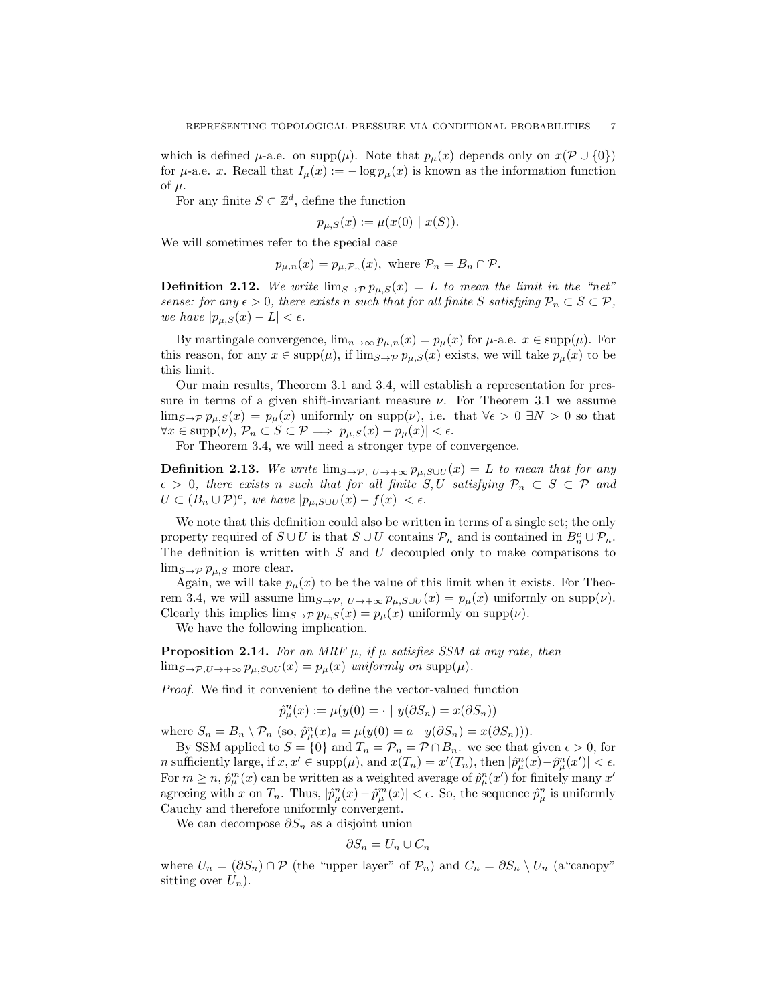which is defined  $\mu$ -a.e. on supp $(\mu)$ . Note that  $p_{\mu}(x)$  depends only on  $x(\mathcal{P} \cup \{0\})$ for  $\mu$ -a.e. *x*. Recall that  $I_{\mu}(x) := -\log p_{\mu}(x)$  is known as the information function of  $\mu$ .

For any finite  $S \subset \mathbb{Z}^d$ , define the function

$$
p_{\mu,S}(x) := \mu(x(0) | x(S)).
$$

We will sometimes refer to the special case

 $p_{\mu,n}(x) = p_{\mu,\mathcal{P}_n}(x)$ , where  $\mathcal{P}_n = B_n \cap \mathcal{P}$ .

**Definition 2.12.** We write  $\lim_{S\to\mathcal{P}} p_{\mu,S}(x) = L$  to mean the limit in the "net" *sense: for any*  $\epsilon > 0$ *, there exists n such that for all finite S satisfying*  $P_n \subset S \subset P$ *, we have*  $|p_{\mu,S}(x) - L| < \epsilon$ .

By martingale convergence,  $\lim_{n\to\infty} p_{\mu,n}(x) = p_{\mu}(x)$  for  $\mu$ -a.e.  $x \in \text{supp}(\mu)$ . For this reason, for any  $x \in \text{supp}(\mu)$ , if  $\lim_{S \to \mathcal{P}} p_{\mu,S}(x)$  exists, we will take  $p_{\mu}(x)$  to be this limit.

Our main results, Theorem 3.1 and 3.4, will establish a representation for pressure in terms of a given shift-invariant measure  $\nu$ . For Theorem 3.1 we assume lim<sub>S→P</sub>  $p_{\mu,S}(x) = p_{\mu}(x)$  uniformly on supp $(\nu)$ , i.e. that  $\forall \epsilon > 0 \exists N > 0$  so that  $\forall x \in \text{supp}(\nu), \ P_n \subset S \subset \mathcal{P} \Longrightarrow |p_{\mu,S}(x) - p_{\mu}(x)| < \epsilon.$ 

For Theorem 3.4, we will need a stronger type of convergence.

**Definition 2.13.** We write  $\lim_{S\to\mathcal{P}}$ ,  $U\to+\infty$   $p_{\mu,S\cup U}(x) = L$  to mean that for any  $\epsilon > 0$ , there exists *n* such that for all finite *S*, *U* satisfying  $P_n \subset S \subset P$  and  $U \subset (B_n \cup \mathcal{P})^c$ , we have  $|p_{\mu,S \cup U}(x) - f(x)| < \epsilon$ .

We note that this definition could also be written in terms of a single set; the only property required of  $S \cup U$  is that  $S \cup U$  contains  $\mathcal{P}_n$  and is contained in  $B_n^c \cup \mathcal{P}_n$ . The definition is written with *S* and *U* decoupled only to make comparisons to  $\lim_{S\to\mathcal{P}} p_{\mu,S}$  more clear.

Again, we will take  $p_{\mu}(x)$  to be the value of this limit when it exists. For Theorem 3.4, we will assume  $\lim_{S\to\mathcal{P}}$ ,  $U\to+\infty$   $p_{\mu,S\cup U}(x)=p_{\mu}(x)$  uniformly on  $\text{supp}(\nu)$ . Clearly this implies  $\lim_{S\to\mathcal{P}} p_{\mu,S}(x) = p_{\mu}(x)$  uniformly on  $\text{supp}(\nu)$ .

We have the following implication.

**Proposition 2.14.** For an MRF  $\mu$ , if  $\mu$  satisfies SSM at any rate, then  $\lim_{S\to\mathcal{P},U\to+\infty} p_{\mu,S\cup U}(x) = p_{\mu}(x)$  *uniformly on* supp $(\mu)$ *.* 

*Proof.* We find it convenient to define the vector-valued function

$$
\hat{p}_{\mu}^{n}(x) := \mu(y(0) = \cdot \mid y(\partial S_{n}) = x(\partial S_{n}))
$$

where  $S_n = B_n \setminus \mathcal{P}_n$  (so,  $\hat{p}_{\mu}^n(x)_a = \mu(y(0) = a \mid y(\partial S_n) = x(\partial S_n))$ ).

By SSM applied to  $S = \{0\}$  and  $T_n = \mathcal{P}_n = \mathcal{P} \cap B_n$ , we see that given  $\epsilon > 0$ , for *n* sufficiently large, if  $x, x' \in \text{supp}(\mu)$ , and  $x(T_n) = x'(T_n)$ , then  $|\hat{p}_{\mu}^n(x) - \hat{p}_{\mu}^n(x')| < \epsilon$ . For  $m \geq n$ ,  $\hat{p}_{\mu}^{m}(x)$  can be written as a weighted average of  $\hat{p}_{\mu}^{n}(x')$  for finitely many  $x'$ agreeing with *x* on  $T_n$ . Thus,  $|\hat{p}_{\mu}^n(x) - \hat{p}_{\mu}^m(x)| < \epsilon$ . So, the sequence  $\hat{p}_{\mu}^n$  is uniformly Cauchy and therefore uniformly convergent.

We can decompose *∂S<sup>n</sup>* as a disjoint union

$$
\partial S_n = U_n \cup C_n
$$

where  $U_n = (\partial S_n) \cap \mathcal{P}$  (the "upper layer" of  $\mathcal{P}_n$ ) and  $C_n = \partial S_n \setminus U_n$  (a "canopy" sitting over  $U_n$ ).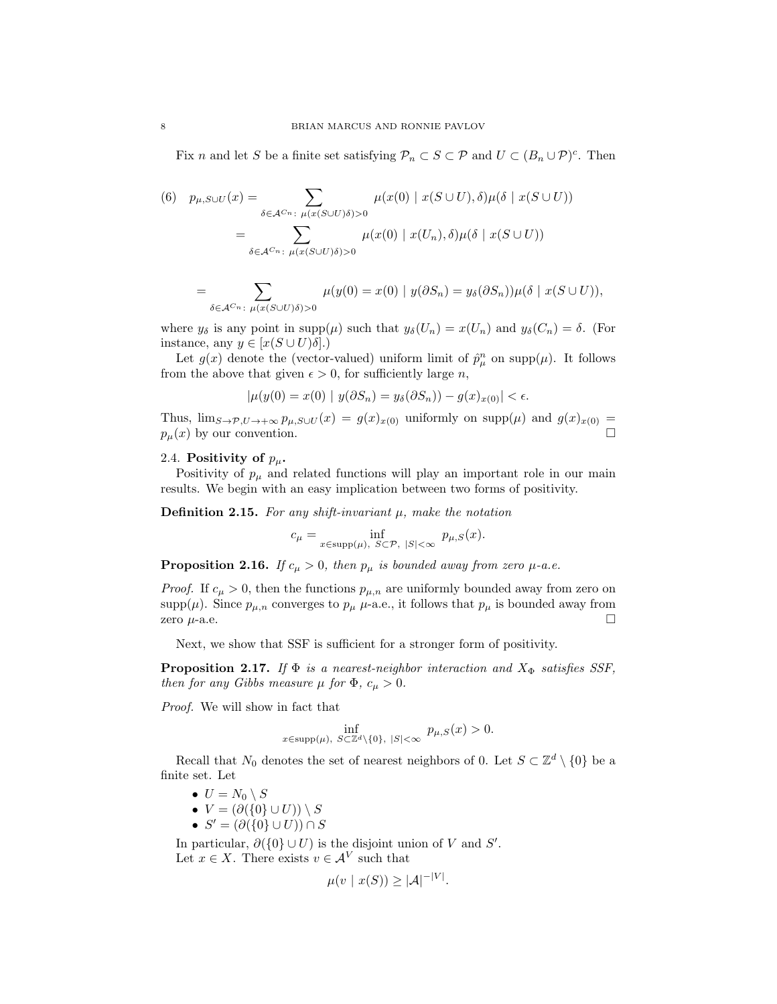Fix *n* and let *S* be a finite set satisfying  $\mathcal{P}_n \subset S \subset \mathcal{P}$  and  $U \subset (B_n \cup \mathcal{P})^c$ . Then

(6) 
$$
p_{\mu,S\cup U}(x) = \sum_{\delta \in \mathcal{A}^{C_n}: \ \mu(x(S\cup U)\delta) > 0} \mu(x(0) \mid x(S \cup U), \delta) \mu(\delta \mid x(S \cup U))
$$

$$
= \sum_{\delta \in \mathcal{A}^{C_n}: \ \mu(x(S \cup U)\delta) > 0} \mu(x(0) \mid x(U_n), \delta) \mu(\delta \mid x(S \cup U))
$$

$$
= \sum_{\delta \in \mathcal{A}^{C_n}: \ \mu(x(S \cup U)\delta) > 0} \mu(y(0) = x(0) \mid y(\partial S_n) = y_{\delta}(\partial S_n)) \mu(\delta \mid x(S \cup U)),
$$

where  $y_{\delta}$  is any point in supp $(\mu)$  such that  $y_{\delta}(U_n) = x(U_n)$  and  $y_{\delta}(C_n) = \delta$ . (For instance, any  $y \in [x(S \cup U)\delta]$ .)

Let  $g(x)$  denote the (vector-valued) uniform limit of  $\hat{p}^n_\mu$  on supp $(\mu)$ . It follows from the above that given  $\epsilon > 0$ , for sufficiently large *n*,

$$
|\mu(y(0) = x(0) | y(\partial S_n) = y_{\delta}(\partial S_n)) - g(x)_{x(0)}| < \epsilon.
$$

Thus,  $\lim_{\mathcal{S}\to\mathcal{P}, U\to+\infty} p_{\mu,S\cup U}(x) = g(x)_{x(0)}$  uniformly on  $\text{supp}(\mu)$  and  $g(x)_{x(0)} =$ <br> $p_{\mu}(x)$  by our convention.  $p_\mu(x)$  by our convention.

## 2.4. **Positivity of**  $p_\mu$ .

Positivity of  $p_{\mu}$  and related functions will play an important role in our main results. We begin with an easy implication between two forms of positivity.

**Definition 2.15.** *For any shift-invariant µ, make the notation*

$$
c_{\mu} = \inf_{x \in \text{supp}(\mu), \ S \subset \mathcal{P}, \ |S| < \infty} \ p_{\mu,S}(x).
$$

**Proposition 2.16.** *If*  $c_{\mu} > 0$ *, then*  $p_{\mu}$  *is bounded away from zero*  $\mu$ -*a.e.* 

*Proof.* If  $c_{\mu} > 0$ , then the functions  $p_{\mu,n}$  are uniformly bounded away from zero on supp $(\mu)$ . Since  $p_{\mu,n}$  converges to  $p_{\mu}$   $\mu$ -a.e., it follows that  $p_{\mu}$  is bounded away from zero  $\mu$ -a.e.

Next, we show that SSF is sufficient for a stronger form of positivity.

**Proposition 2.17.** *If*  $\Phi$  *is a nearest-neighbor interaction and*  $X_{\Phi}$  *satisfies SSF*, *then for any Gibbs measure*  $\mu$  *for*  $\Phi$ *,*  $c_{\mu} > 0$ *.* 

*Proof.* We will show in fact that

$$
\inf_{x \in \text{supp}(\mu), \ S \subset \mathbb{Z}^d \setminus \{0\}, \ |S| < \infty} p_{\mu,S}(x) > 0.
$$

Recall that  $N_0$  denotes the set of nearest neighbors of 0. Let  $S \subset \mathbb{Z}^d \setminus \{0\}$  be a finite set. Let

- $U = N_0 \setminus S$
- $V = (\partial(\{0\} \cup U)) \setminus S$
- $S' = (\partial({0 \in U}) \cup U) \cap S$

In particular,  $\partial({0} \cup U)$  is the disjoint union of *V* and *S'*. Let  $x \in X$ . There exists  $v \in A^V$  such that

$$
\mu(v \mid x(S)) \geq |\mathcal{A}|^{-|V|}.
$$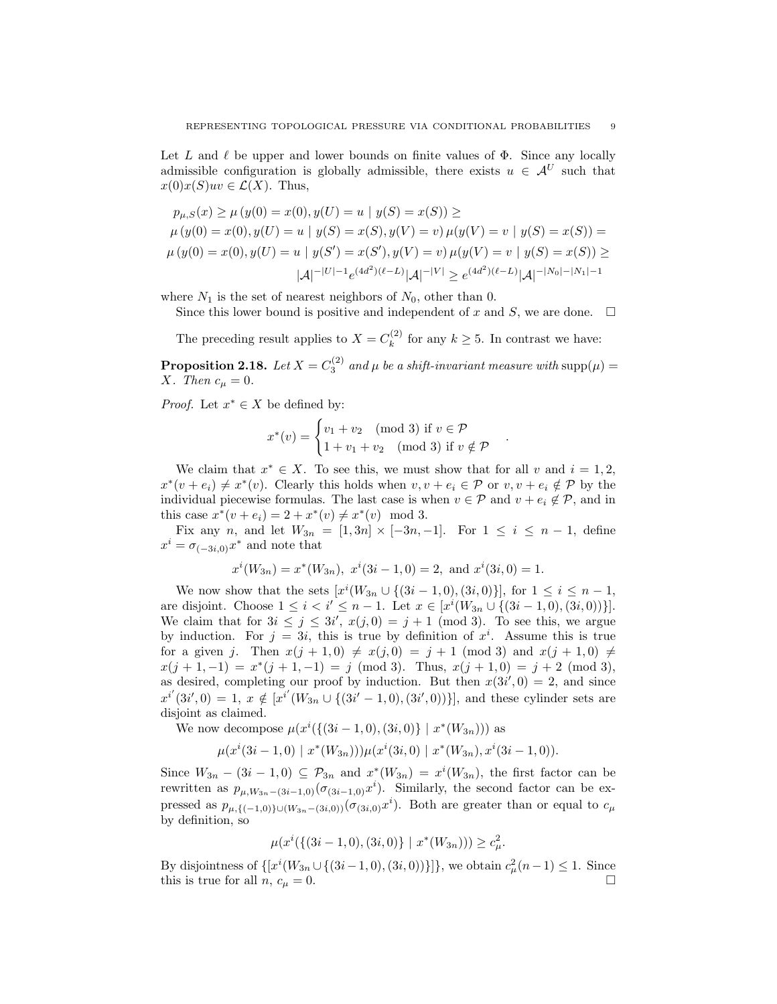Let L and  $\ell$  be upper and lower bounds on finite values of  $\Phi$ . Since any locally admissible configuration is globally admissible, there exists  $u \in A^U$  such that  $x(0)x(S)uv \in \mathcal{L}(X)$ . Thus,

$$
p_{\mu,S}(x) \ge \mu(y(0) = x(0), y(U) = u \mid y(S) = x(S)) \ge
$$
  
\n
$$
\mu(y(0) = x(0), y(U) = u \mid y(S) = x(S), y(V) = v) \mu(y(V) = v \mid y(S) = x(S)) =
$$
  
\n
$$
\mu(y(0) = x(0), y(U) = u \mid y(S') = x(S'), y(V) = v) \mu(y(V) = v \mid y(S) = x(S)) \ge
$$
  
\n
$$
|\mathcal{A}|^{-|U|-1} e^{(4d^2)(\ell - L)} |\mathcal{A}|^{-|V|} \ge e^{(4d^2)(\ell - L)} |\mathcal{A}|^{-|N_0| - |N_1| - 1}
$$

where  $N_1$  is the set of nearest neighbors of  $N_0$ , other than 0.

Since this lower bound is positive and independent of  $x$  and  $S$ , we are done.  $\Box$ 

The preceding result applies to  $X = C_k^{(2)}$  $f_k^{(2)}$  for any  $k \geq 5$ . In contrast we have:

**Proposition 2.18.** Let  $X = C_3^{(2)}$  and  $\mu$  be a shift-invariant measure with supp $(\mu)$  = *X. Then*  $c_{\mu} = 0$ *.* 

*Proof.* Let  $x^* \in X$  be defined by:

$$
x^*(v) = \begin{cases} v_1 + v_2 \pmod{3} \text{ if } v \in \mathcal{P} \\ 1 + v_1 + v_2 \pmod{3} \text{ if } v \notin \mathcal{P} \end{cases}
$$

*.*

We claim that  $x^* \in X$ . To see this, we must show that for all *v* and  $i = 1, 2$ ,  $x^*(v + e_i) \neq x^*(v)$ . Clearly this holds when  $v, v + e_i \in \mathcal{P}$  or  $v, v + e_i \notin \mathcal{P}$  by the individual piecewise formulas. The last case is when  $v \in \mathcal{P}$  and  $v + e_i \notin \mathcal{P}$ , and in this case  $x^*(v + e_i) = 2 + x^*(v) \neq x^*(v) \mod 3$ .

Fix any *n*, and let  $W_{3n} = [1,3n] \times [-3n,-1]$ . For  $1 \le i \le n-1$ , define  $x^i = \sigma_{(-3i,0)}x^*$  and note that

$$
x^{i}(W_{3n}) = x^{*}(W_{3n}), x^{i}(3i - 1, 0) = 2
$$
, and  $x^{i}(3i, 0) = 1$ .

We now show that the sets  $[x^{i}(W_{3n} \cup \{(3i-1,0), (3i,0)\}],$  for  $1 \leq i \leq n-1$ , are disjoint. Choose  $1 \leq i < i' \leq n-1$ . Let  $x \in [x^{i}(W_{3n} \cup \{(3i-1,0), (3i,0))\}]$ . We claim that for  $3i \leq j \leq 3i'$ ,  $x(j,0) = j + 1 \pmod{3}$ . To see this, we argue by induction. For  $j = 3i$ , this is true by definition of  $x^i$ . Assume this is true for a given *j*. Then  $x(j + 1, 0) \neq x(j, 0) = j + 1 \pmod{3}$  and  $x(j + 1, 0) \neq j$  $x(j + 1, -1) = x^*(j + 1, -1) = j \pmod{3}$ . Thus,  $x(j + 1, 0) = j + 2 \pmod{3}$ , as desired, completing our proof by induction. But then  $x(3i', 0) = 2$ , and since  $x^{i'}(3i',0) = 1, x \notin [x^{i'}(W_{3n} \cup \{(3i'-1,0),(3i',0))\}],$  and these cylinder sets are disjoint as claimed.

We now decompose  $\mu(x^i(\{(3i-1,0),(3i,0)\} | x^*(W_{3n})))$  as

$$
\mu(x^{i}(3i-1,0) \mid x^{*}(W_{3n}))\mu(x^{i}(3i,0) \mid x^{*}(W_{3n}), x^{i}(3i-1,0)).
$$

Since  $W_{3n} - (3i - 1, 0) \subseteq \mathcal{P}_{3n}$  and  $x^*(W_{3n}) = x^i(W_{3n})$ , the first factor can be rewritten as  $p_{\mu,W_{3n}-(3i-1,0)}(\sigma_{(3i-1,0)}x^i)$ . Similarly, the second factor can be expressed as  $p_{\mu,\{(-1,0)\}\cup (W_{3n}-(3i,0))}(\sigma_{(3i,0)}x^i)$ . Both are greater than or equal to  $c_{\mu}$ by definition, so

$$
\mu(x^i(\{(3i-1,0),(3i,0)\} \mid x^*(W_{3n}))) \ge c_\mu^2.
$$

By disjointness of  $\{ [x^{i}(W_{3n} \cup \{(3i-1,0), (3i,0))\}] \}$ , we obtain  $c_{\mu}^{2}(n-1) \leq 1$ . Since this is true for all *n*,  $c_{\mu} = 0$ .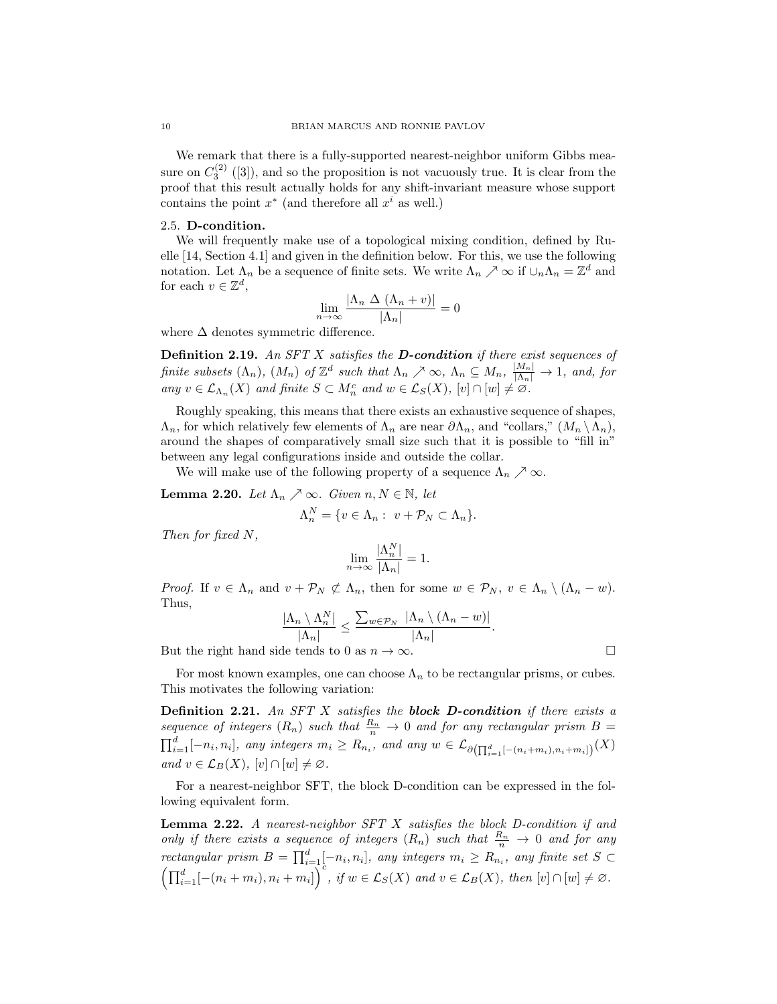We remark that there is a fully-supported nearest-neighbor uniform Gibbs measure on  $C_3^{(2)}$  ([3]), and so the proposition is not vacuously true. It is clear from the proof that this result actually holds for any shift-invariant measure whose support contains the point  $x^*$  (and therefore all  $x^i$  as well.)

### 2.5. **D-condition.**

We will frequently make use of a topological mixing condition, defined by Ruelle [14, Section 4.1] and given in the definition below. For this, we use the following notation. Let  $\Lambda_n$  be a sequence of finite sets. We write  $\Lambda_n \nearrow \infty$  if  $\cup_n \Lambda_n = \mathbb{Z}^d$  and for each  $v \in \mathbb{Z}^d$ ,

$$
\lim_{n \to \infty} \frac{|\Lambda_n \Delta (\Lambda_n + v)|}{|\Lambda_n|} = 0
$$

where  $\Delta$  denotes symmetric difference.

**Definition 2.19.** *An SFT X satisfies the D-condition if there exist sequences of* finite subsets  $(\Lambda_n)$ ,  $(M_n)$  of  $\mathbb{Z}^d$  such that  $\Lambda_n \nearrow \infty$ ,  $\Lambda_n \subseteq M_n$ ,  $\frac{|M_n|}{|\Lambda_n|} \to 1$ , and, for *any*  $v \in \mathcal{L}_{\Lambda_n}(X)$  *and finite*  $S \subset M_n^c$  *and*  $w \in \mathcal{L}_S(X)$ ,  $[v] \cap [w] \neq \emptyset$ .

Roughly speaking, this means that there exists an exhaustive sequence of shapes, Λ*n*, for which relatively few elements of Λ*<sup>n</sup>* are near *∂*Λ*n*, and "collars," (*M<sup>n</sup> \*Λ*n*), around the shapes of comparatively small size such that it is possible to "fill in" between any legal configurations inside and outside the collar.

We will make use of the following property of a sequence  $\Lambda_n \nearrow \infty$ .

**Lemma 2.20.** *Let*  $\Lambda_n \nearrow \infty$ *. Given*  $n, N \in \mathbb{N}$ *, let* 

$$
\Lambda_n^N = \{ v \in \Lambda_n : v + \mathcal{P}_N \subset \Lambda_n \}.
$$

*Then for fixed N,*

$$
\lim_{n\to\infty}\frac{|\Lambda_n^N|}{|\Lambda_n|}=1.
$$

*Proof.* If  $v \in \Lambda_n$  and  $v + \mathcal{P}_N \not\subset \Lambda_n$ , then for some  $w \in \mathcal{P}_N$ ,  $v \in \Lambda_n \setminus (\Lambda_n - w)$ . Thus,

$$
\frac{|\Lambda_n \setminus \Lambda_n^N|}{|\Lambda_n|} \le \frac{\sum_{w \in \mathcal{P}_N} |\Lambda_n \setminus (\Lambda_n - w)|}{|\Lambda_n|}.
$$

But the right hand side tends to 0 as  $n \to \infty$ .

For most known examples, one can choose  $\Lambda_n$  to be rectangular prisms, or cubes. This motivates the following variation:

**Definition 2.21.** *An SFT X satisfies the block D-condition if there exists a sequence of integers*  $(R_n)$  *such that*  $\frac{R_n}{n} \to 0$  *and for any rectangular prism*  $B =$  $\prod_{i=1}^d [-n_i, n_i]$ , any integers  $m_i \ge R_{n_i}$ , and any  $w \in \mathcal{L}_{\partial\left(\prod_{i=1}^d [-(n_i+m_i), n_i+m_i]\right)}(X)$  $and v \in \mathcal{L}_B(X), [v] \cap [w] \neq \emptyset.$ 

For a nearest-neighbor SFT, the block D-condition can be expressed in the following equivalent form.

**Lemma 2.22.** *A nearest-neighbor SFT X satisfies the block D-condition if and only if there exists a sequence of integers*  $(R_n)$  *such that*  $\frac{R_n}{n} \to 0$  *and for any rectangular prism*  $B = \prod_{i=1}^{d} [-n_i, n_i]$ , any integers  $m_i \ge R_{n_i}$ , any finite set  $S \subset$  $\left(\prod_{i=1}^d [-(n_i+m_i),n_i+m_i]\right)^c$ , if  $w \in \mathcal{L}_S(X)$  and  $v \in \mathcal{L}_B(X)$ , then  $[v] \cap [w] \neq \emptyset$ .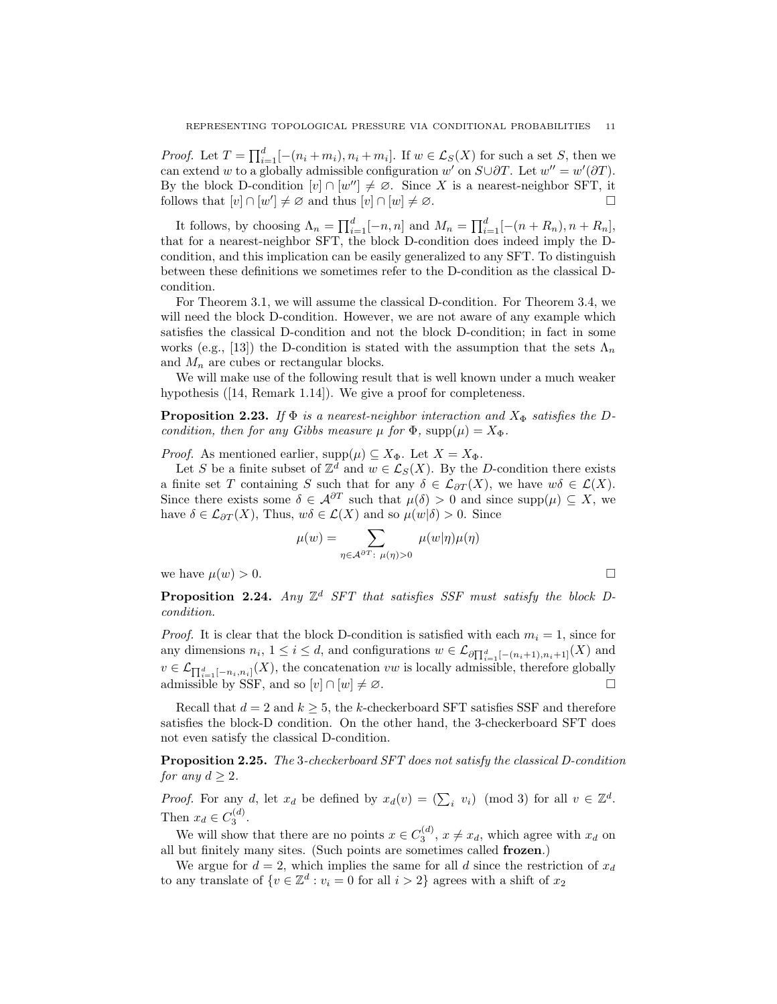*Proof.* Let  $T = \prod_{i=1}^{d} [-(n_i + m_i), n_i + m_i]$ . If  $w \in \mathcal{L}_S(X)$  for such a set *S*, then we can extend *w* to a globally admissible configuration *w'* on  $S \cup \partial T$ . Let  $w'' = w'(\partial T)$ . By the block D-condition  $[v] \cap [w''] \neq \emptyset$ . Since X is a nearest-neighbor SFT, it follows that  $[v] \cap [w'] \neq \emptyset$  and thus  $[v] \cap [w] \neq \emptyset$ .

It follows, by choosing  $\Lambda_n = \prod_{i=1}^d [-n, n]$  and  $M_n = \prod_{i=1}^d [-(n + R_n), n + R_n]$ , that for a nearest-neighbor SFT, the block D-condition does indeed imply the Dcondition, and this implication can be easily generalized to any SFT. To distinguish between these definitions we sometimes refer to the D-condition as the classical Dcondition.

For Theorem 3.1, we will assume the classical D-condition. For Theorem 3.4, we will need the block D-condition. However, we are not aware of any example which satisfies the classical D-condition and not the block D-condition; in fact in some works (e.g., [13]) the D-condition is stated with the assumption that the sets  $\Lambda_n$ and  $M_n$  are cubes or rectangular blocks.

We will make use of the following result that is well known under a much weaker hypothesis ([14, Remark 1.14]). We give a proof for completeness.

**Proposition 2.23.** *If*  $\Phi$  *is a nearest-neighbor interaction and*  $X_{\Phi}$  *satisfies the Dcondition, then for any Gibbs measure*  $\mu$  *for*  $\Phi$ *,* supp $(\mu) = X_{\Phi}$ *.* 

*Proof.* As mentioned earlier,  $\text{supp}(\mu) \subseteq X_{\Phi}$ . Let  $X = X_{\Phi}$ .

Let *S* be a finite subset of  $\mathbb{Z}^d$  and  $w \in \mathcal{L}_S(X)$ . By the *D*-condition there exists a finite set *T* containing *S* such that for any  $\delta \in \mathcal{L}_{\partial T}(X)$ , we have  $w\delta \in \mathcal{L}(X)$ . Since there exists some  $\delta \in \mathcal{A}^{\partial T}$  such that  $\mu(\delta) > 0$  and since supp $(\mu) \subseteq X$ , we have  $\delta \in \mathcal{L}_{\partial T}(X)$ , Thus,  $w\delta \in \mathcal{L}(X)$  and so  $\mu(w|\delta) > 0$ . Since

$$
\mu(w) = \sum_{\eta \in \mathcal{A}^{\partial T} : \ \mu(\eta) > 0} \mu(w|\eta) \mu(\eta)
$$

we have  $\mu(w) > 0$ .

**Proposition 2.24.** Any  $\mathbb{Z}^d$  SFT that satisfies SSF must satisfy the block D*condition.*

*Proof.* It is clear that the block D-condition is satisfied with each  $m_i = 1$ , since for any dimensions  $n_i$ ,  $1 \leq i \leq d$ , and configurations  $w \in \mathcal{L}_{\partial \prod_{i=1}^d [-(n_i+1), n_i+1]}(X)$  and  $v \in \mathcal{L}_{\prod_{i=1}^{d}[-n_i,n_i]}(X)$ , the concatenation *vw* is locally admissible, therefore globally admissible by SSF, and so  $[v] \cap [w] \neq \emptyset$ .

Recall that  $d = 2$  and  $k \geq 5$ , the *k*-checkerboard SFT satisfies SSF and therefore satisfies the block-D condition. On the other hand, the 3-checkerboard SFT does not even satisfy the classical D-condition.

**Proposition 2.25.** *The* 3*-checkerboard SFT does not satisfy the classical D-condition for any*  $d \geq 2$ *.* 

*Proof.* For any *d*, let  $x_d$  be defined by  $x_d(v) = (\sum_i v_i) \pmod{3}$  for all  $v \in \mathbb{Z}^d$ . Then  $x_d \in C_3^{(d)}$ .

We will show that there are no points  $x \in C_3^{(d)}$ ,  $x \neq x_d$ , which agree with  $x_d$  on all but finitely many sites. (Such points are sometimes called **frozen**.)

We argue for  $d = 2$ , which implies the same for all *d* since the restriction of  $x_d$ to any translate of  $\{v \in \mathbb{Z}^d : v_i = 0 \text{ for all } i > 2\}$  agrees with a shift of  $x_2$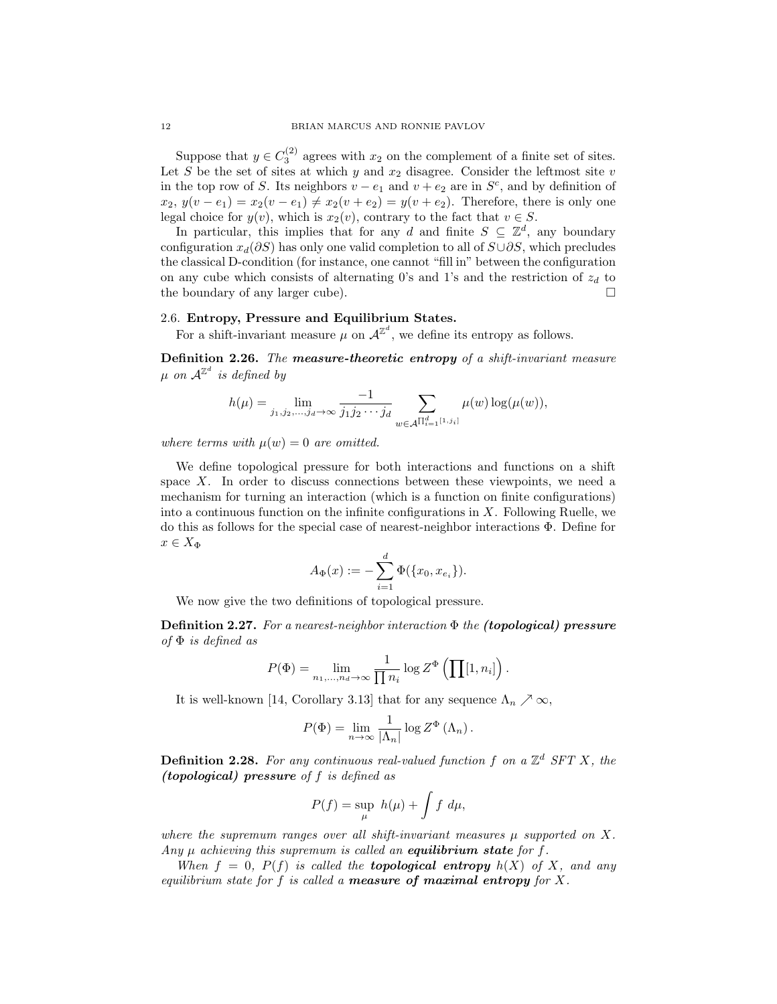Suppose that  $y \in C_3^{(2)}$  agrees with  $x_2$  on the complement of a finite set of sites. Let  $S$  be the set of sites at which  $y$  and  $x_2$  disagree. Consider the leftmost site  $v$ in the top row of *S*. Its neighbors  $v - e_1$  and  $v + e_2$  are in  $S^c$ , and by definition of  $x_2, y(v - e_1) = x_2(v - e_1) \neq x_2(v + e_2) = y(v + e_2)$ . Therefore, there is only one legal choice for  $y(v)$ , which is  $x_2(v)$ , contrary to the fact that  $v \in S$ .

In particular, this implies that for any *d* and finite  $S \subseteq \mathbb{Z}^d$ , any boundary configuration *xd*(*∂S*) has only one valid completion to all of *S∪∂S*, which precludes the classical D-condition (for instance, one cannot "fill in" between the configuration on any cube which consists of alternating 0's and 1's and the restriction of  $z_d$  to the boundary of any larger cube).

## 2.6. **Entropy, Pressure and Equilibrium States.**

For a shift-invariant measure  $\mu$  on  $\mathcal{A}^{\mathbb{Z}^d}$ , we define its entropy as follows.

**Definition 2.26.** *The measure-theoretic entropy of a shift-invariant measure*  $\mu$  *on*  $\mathcal{A}^{\mathbb{Z}^d}$  *is defined by* 

$$
h(\mu) = \lim_{j_1, j_2, \dots, j_d \to \infty} \frac{-1}{j_1 j_2 \cdots j_d} \sum_{w \in \mathcal{A}^{\prod_{i=1}^d [1, j_i]}} \mu(w) \log(\mu(w)),
$$

*where terms with*  $\mu(w) = 0$  *are omitted.* 

We define topological pressure for both interactions and functions on a shift space *X*. In order to discuss connections between these viewpoints, we need a mechanism for turning an interaction (which is a function on finite configurations) into a continuous function on the infinite configurations in *X*. Following Ruelle, we do this as follows for the special case of nearest-neighbor interactions Φ. Define for  $x \in X_{\Phi}$ 

$$
A_{\Phi}(x) := -\sum_{i=1}^{d} \Phi(\{x_0, x_{e_i}\}).
$$

We now give the two definitions of topological pressure.

**Definition 2.27.** *For a nearest-neighbor interaction* Φ *the (topological) pressure of* Φ *is defined as*

$$
P(\Phi) = \lim_{n_1,\dots,n_d \to \infty} \frac{1}{\prod n_i} \log Z^{\Phi} \left( \prod [1, n_i] \right).
$$

It is well-known [14, Corollary 3.13] that for any sequence  $\Lambda_n \nearrow \infty$ ,

$$
P(\Phi) = \lim_{n \to \infty} \frac{1}{|\Lambda_n|} \log Z^{\Phi} (\Lambda_n).
$$

**Definition 2.28.** *For any continuous real-valued function f on a* Z *<sup>d</sup> SFT X, the (topological) pressure of f is defined as*

$$
P(f) = \sup_{\mu} h(\mu) + \int f \, d\mu,
$$

*where the supremum ranges over all shift-invariant measures*  $\mu$  *supported on*  $X$ *. Any µ achieving this supremum is called an equilibrium state for f.*

*When*  $f = 0$ ,  $P(f)$  *is called the topological entropy*  $h(X)$  *of X, and any equilibrium state for f is called a measure of maximal entropy for X.*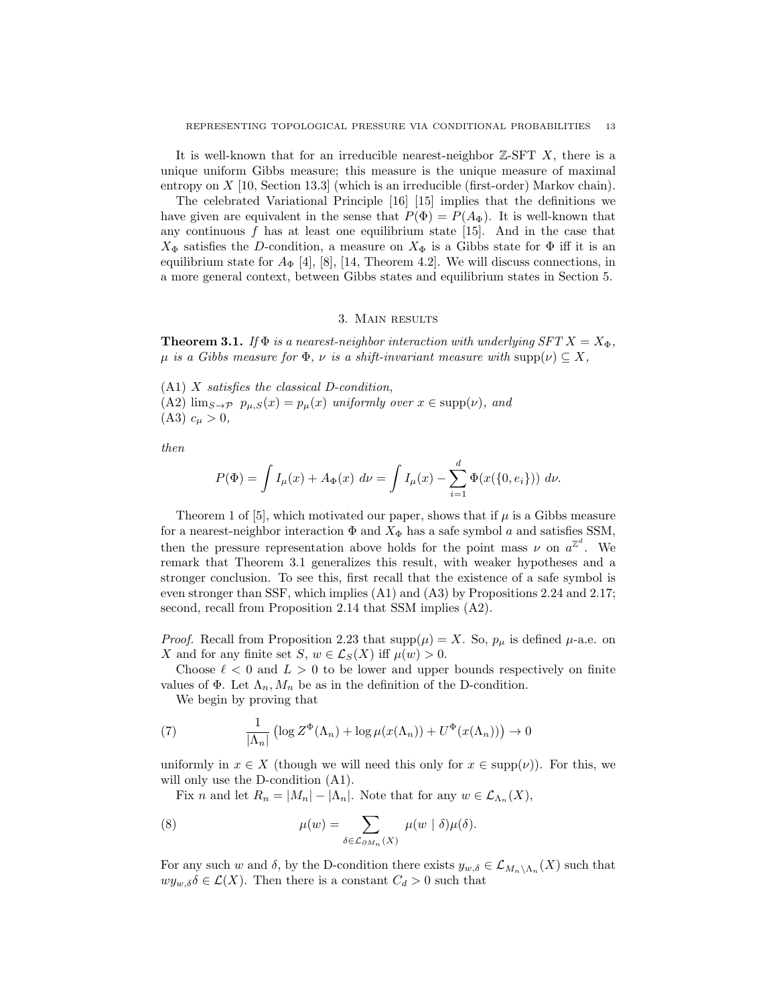It is well-known that for an irreducible nearest-neighbor Z-SFT *X*, there is a unique uniform Gibbs measure; this measure is the unique measure of maximal entropy on *X* [10, Section 13.3] (which is an irreducible (first-order) Markov chain).

The celebrated Variational Principle [16] [15] implies that the definitions we have given are equivalent in the sense that  $P(\Phi) = P(A_{\Phi})$ . It is well-known that any continuous  $f$  has at least one equilibrium state  $[15]$ . And in the case that  $X_{\Phi}$  satisfies the *D*-condition, a measure on  $X_{\Phi}$  is a Gibbs state for  $\Phi$  iff it is an equilibrium state for  $A_{\Phi}$  [4], [8], [14, Theorem 4.2]. We will discuss connections, in a more general context, between Gibbs states and equilibrium states in Section 5.

### 3. Main results

**Theorem 3.1.** *If*  $\Phi$  *is a nearest-neighbor interaction with underlying SFT*  $X = X_{\Phi}$ ,  $\mu$  *is a Gibbs measure for*  $\Phi$ *,*  $\nu$  *is a shift-invariant measure with*  $\text{supp}(\nu) \subset X$ *,* 

(A1) *X satisfies the classical D-condition,* (A2)  $\lim_{S\to\mathcal{P}} p_{\mu,S}(x) = p_{\mu}(x)$  *uniformly over*  $x \in \text{supp}(\nu)$ *, and*  $(A3)$   $c_{\mu} > 0$ ,

*then*

$$
P(\Phi) = \int I_{\mu}(x) + A_{\Phi}(x) \, d\nu = \int I_{\mu}(x) - \sum_{i=1}^{d} \Phi(x(\{0, e_i\})) \, d\nu.
$$

Theorem 1 of [5], which motivated our paper, shows that if  $\mu$  is a Gibbs measure for a nearest-neighbor interaction  $\Phi$  and  $X_{\Phi}$  has a safe symbol *a* and satisfies SSM, then the pressure representation above holds for the point mass  $\nu$  on  $a^{\mathbb{Z}^d}$ . We remark that Theorem 3.1 generalizes this result, with weaker hypotheses and a stronger conclusion. To see this, first recall that the existence of a safe symbol is even stronger than SSF, which implies (A1) and (A3) by Propositions 2.24 and 2.17; second, recall from Proposition 2.14 that SSM implies (A2).

*Proof.* Recall from Proposition 2.23 that  $supp(\mu) = X$ . So,  $p_{\mu}$  is defined  $\mu$ -a.e. on *X* and for any finite set *S*,  $w \in \mathcal{L}_S(X)$  iff  $\mu(w) > 0$ .

Choose  $\ell < 0$  and  $L > 0$  to be lower and upper bounds respectively on finite values of  $\Phi$ . Let  $\Lambda_n$ ,  $M_n$  be as in the definition of the D-condition.

We begin by proving that

(7) 
$$
\frac{1}{|\Lambda_n|} \left( \log Z^{\Phi}(\Lambda_n) + \log \mu(x(\Lambda_n)) + U^{\Phi}(x(\Lambda_n)) \right) \to 0
$$

uniformly in  $x \in X$  (though we will need this only for  $x \in \text{supp}(\nu)$ ). For this, we will only use the D-condition (A1).

Fix *n* and let  $R_n = |M_n| - |\Lambda_n|$ . Note that for any  $w \in \mathcal{L}_{\Lambda_n}(X)$ ,

(8) 
$$
\mu(w) = \sum_{\delta \in \mathcal{L}_{\partial M_n}(X)} \mu(w \mid \delta) \mu(\delta).
$$

For any such *w* and  $\delta$ , by the D-condition there exists  $y_{w,\delta} \in \mathcal{L}_{M_n \setminus \Lambda_n}(X)$  such that  $wy_{w,\delta} \delta \in \mathcal{L}(X)$ . Then there is a constant  $C_d > 0$  such that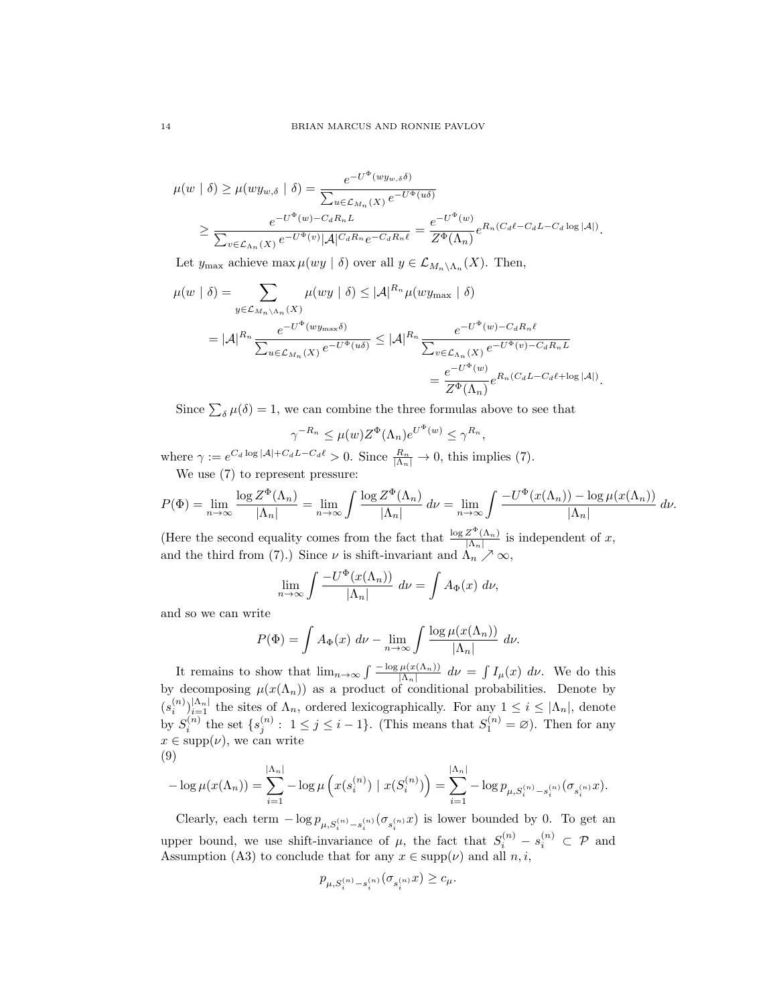$$
\mu(w \mid \delta) \ge \mu(w y_{w,\delta} \mid \delta) = \frac{e^{-U^{\Phi}(wy_{w,\delta}\delta)}}{\sum_{u \in \mathcal{L}_{M_n}(X)} e^{-U^{\Phi}(u)\delta}}
$$

$$
\ge \frac{e^{-U^{\Phi}(w) - C_d R_n L}}{\sum_{v \in \mathcal{L}_{\Lambda_n}(X)} e^{-U^{\Phi}(v)} |\mathcal{A}|^{C_d R_n} e^{-C_d R_n \ell}} = \frac{e^{-U^{\Phi}(w)}}{Z^{\Phi}(\Lambda_n)} e^{R_n (C_d \ell - C_d L - C_d \log |\mathcal{A}|)}.
$$

Let  $y_{\text{max}}$  achieve  $\max \mu(wy \mid \delta)$  over all  $y \in \mathcal{L}_{M_n \setminus \Lambda_n}(X)$ . Then,

$$
\mu(w \mid \delta) = \sum_{y \in \mathcal{L}_{M_n \backslash \Lambda_n}(X)} \mu(wy \mid \delta) \leq |\mathcal{A}|^{R_n} \mu(wy_{\max} \mid \delta)
$$
  

$$
= |\mathcal{A}|^{R_n} \frac{e^{-U^{\Phi}(wy_{\max}\delta)}}{\sum_{u \in \mathcal{L}_{M_n}(X)} e^{-U^{\Phi}(u\delta)}} \leq |\mathcal{A}|^{R_n} \frac{e^{-U^{\Phi}(w) - C_d R_n \ell}}{\sum_{v \in \mathcal{L}_{\Lambda_n}(X)} e^{-U^{\Phi}(v) - C_d R_n \ell}}= \frac{e^{-U^{\Phi}(w)}}{Z^{\Phi}(\Lambda_n)} e^{R_n(C_d L - C_d \ell + \log |\mathcal{A}|)}.
$$

Since  $\sum_{\delta} \mu(\delta) = 1$ , we can combine the three formulas above to see that

$$
\gamma^{-R_n} \le \mu(w) Z^{\Phi}(\Lambda_n) e^{U^{\Phi}(w)} \le \gamma^{R_n},
$$

where  $\gamma := e^{C_d \log |\mathcal{A}| + C_d L - C_d \ell} > 0$ . Since  $\frac{R_n}{|\Lambda_n|} \to 0$ , this implies (7). We use (7) to represent pressure:

$$
P(\Phi) = \lim_{n \to \infty} \frac{\log Z^{\Phi}(\Lambda_n)}{|\Lambda_n|} = \lim_{n \to \infty} \int \frac{\log Z^{\Phi}(\Lambda_n)}{|\Lambda_n|} d\nu = \lim_{n \to \infty} \int \frac{-U^{\Phi}(x(\Lambda_n)) - \log \mu(x(\Lambda_n))}{|\Lambda_n|} d\nu.
$$

(Here the second equality comes from the fact that  $\frac{\log Z^{\Phi}(\Lambda_n)}{\Lambda_n}$ )  $\frac{Z^-(\Lambda_n)}{|\Lambda_n|}$  is independent of *x*, and the third from (7).) Since  $\nu$  is shift-invariant and  $\Lambda_n \nearrow \infty$ ,

$$
\lim_{n \to \infty} \int \frac{-U^{\Phi}(x(\Lambda_n))}{|\Lambda_n|} d\nu = \int A_{\Phi}(x) d\nu,
$$

and so we can write

$$
P(\Phi) = \int A_{\Phi}(x) \, d\nu - \lim_{n \to \infty} \int \frac{\log \mu(x(\Lambda_n))}{|\Lambda_n|} \, d\nu.
$$

It remains to show that  $\lim_{n\to\infty} \int \frac{-\log \mu(x(\Lambda_n))}{|\Lambda_n|} d\nu = \int I_\mu(x) d\nu$ . We do this by decomposing  $\mu(x(\Lambda_n))$  as a product of conditional probabilities. Denote by  $(s_i^{(n)})_{i=1}^{\vert\Lambda_n\vert}$  the sites of  $\Lambda_n$ , ordered lexicographically. For any  $1 \leq i \leq |\Lambda_n|$ , denote by  $S_i^{(n)}$  the set  $\{s_j^{(n)}: 1 \le j \le i-1\}$ . (This means that  $S_1^{(n)} = \emptyset$ ). Then for any  $x \in \text{supp}(\nu)$ , we can write (9)

$$
-\log \mu(x(\Lambda_n)) = \sum_{i=1}^{|\Lambda_n|} -\log \mu\left(x(s_i^{(n)}) \mid x(S_i^{(n)})\right) = \sum_{i=1}^{|\Lambda_n|} -\log p_{\mu, S_i^{(n)} - s_i^{(n)}}(\sigma_{s_i^{(n)}} x).
$$

Clearly, each term  $-\log p_{\mu,S_i^{(n)}-s_i^{(n)}}(\sigma_{s_i^{(n)}}x)$  is lower bounded by 0. To get an upper bound, we use shift-invariance of  $\mu$ , the fact that  $S_i^{(n)} - s_i^{(n)} \subset \mathcal{P}$  and Assumption (A3) to conclude that for any  $x \in \text{supp}(\nu)$  and all  $n, i$ ,

$$
p_{\mu, S_i^{(n)} - s_i^{(n)}}(\sigma_{s_i^{(n)}} x) \ge c_\mu.
$$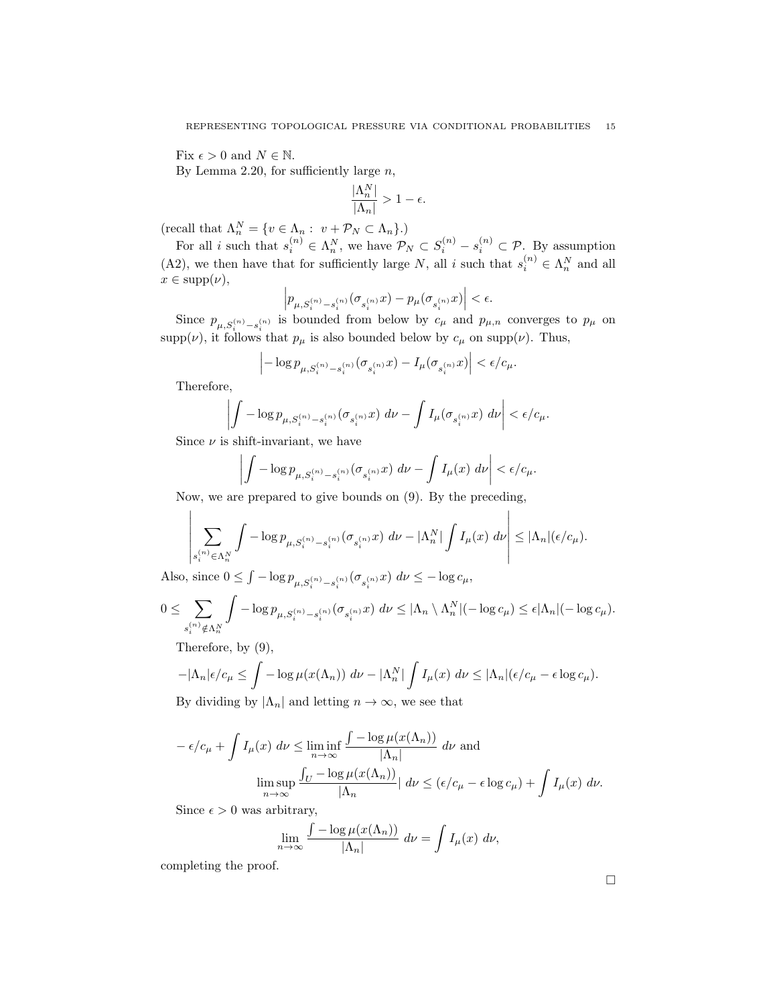Fix  $\epsilon > 0$  and  $N \in \mathbb{N}$ .

By Lemma 2.20, for sufficiently large *n*,

$$
\frac{|\Lambda_n^N|}{|\Lambda_n|} > 1 - \epsilon.
$$

 $(\text{recall that } \Lambda_n^N = \{v \in \Lambda_n : v + \mathcal{P}_N \subset \Lambda_n\}.$ 

For all *i* such that  $s_i^{(n)} \in \Lambda_n^N$ , we have  $\mathcal{P}_N \subset S_i^{(n)} - s_i^{(n)} \subset \mathcal{P}$ . By assumption (A2), we then have that for sufficiently large *N*, all *i* such that  $s_i^{(n)} \in \Lambda_n^N$  and all  $x \in \text{supp}(\nu)$ ,

$$
\left|p_{\mu,S_i^{(n)}-s_i^{(n)}}(\sigma_{s_i^{(n)}}x)-p_\mu(\sigma_{s_i^{(n)}}x)\right|<\epsilon.
$$

Since  $p_{\mu,S_i^{(n)}-s_i^{(n)}}$  is bounded from below by  $c_{\mu}$  and  $p_{\mu,n}$  converges to  $p_{\mu}$  on  $\supp(\nu)$ , it follows that  $p_{\mu}$  is also bounded below by  $c_{\mu}$  on  $\supp(\nu)$ . Thus,

$$
\left| -\log p_{\mu, S_i^{(n)} - s_i^{(n)}} (\sigma_{s_i^{(n)}} x) - I_{\mu} (\sigma_{s_i^{(n)}} x) \right| < \epsilon / c_{\mu}.
$$

Therefore,

 $\mathbf{I}$ 

$$
\left|\int -\log p_{\mu,S_i^{(n)}-s_i^{(n)}}(\sigma_{s_i^{(n)}}x)\ d\nu - \int I_\mu(\sigma_{s_i^{(n)}}x)\ d\nu\right| < \epsilon/c_\mu.
$$

Since  $\nu$  is shift-invariant, we have

 $\overline{\phantom{a}}$  $\overline{\phantom{a}}$  $\overline{\phantom{a}}$  $\overline{\phantom{a}}$ 

$$
\int -\log p_{\mu,S_i^{(n)}-s_i^{(n)}}(\sigma_{s_i^{(n)}}x) d\nu - \int I_{\mu}(x) d\nu \bigg| < \epsilon/c_{\mu}.
$$

Now, we are prepared to give bounds on (9). By the preceding,

$$
\left|\sum_{s_i^{(n)} \in \Lambda_n^N} \int -\log p_{\mu, S_i^{(n)} - s_i^{(n)}}(\sigma_{s_i^{(n)}} x) d\nu - |\Lambda_n^N| \int I_\mu(x) d\nu \right| \le |\Lambda_n|(\epsilon/c_\mu).
$$

 $\overline{1}$ 

Also, since  $0 \le \int -\log p_{\mu, S_i^{(n)} - s_i^{(n)}}(\sigma_{s_i^{(n)}} x) d\nu \le -\log c_\mu$ ,

$$
0 \leq \sum_{s_i^{(n)} \notin \Lambda_n^N} \int -\log p_{\mu, S_i^{(n)} - s_i^{(n)}}(\sigma_{s_i^{(n)}} x) \, d\nu \leq |\Lambda_n \setminus \Lambda_n^N| (-\log c_\mu) \leq \epsilon |\Lambda_n| (-\log c_\mu).
$$

Therefore, by (9),

$$
-|\Lambda_n|\epsilon/c_\mu \le \int -\log \mu(x(\Lambda_n)) d\nu - |\Lambda_n^N| \int I_\mu(x) d\nu \le |\Lambda_n|(\epsilon/c_\mu - \epsilon \log c_\mu).
$$

By dividing by  $|\Lambda_n|$  and letting  $n \to \infty$ , we see that

$$
-\epsilon/c_{\mu} + \int I_{\mu}(x) d\nu \le \liminf_{n \to \infty} \frac{\int -\log \mu(x(\Lambda_n))}{|\Lambda_n|} d\nu \text{ and}
$$

$$
\limsup_{n \to \infty} \frac{\int_U -\log \mu(x(\Lambda_n))}{|\Lambda_n|} d\nu \le (\epsilon/c_{\mu} - \epsilon \log c_{\mu}) + \int I_{\mu}(x) d\nu.
$$

Since  $\epsilon > 0$  was arbitrary,

$$
\lim_{n \to \infty} \frac{\int -\log \mu(x(\Lambda_n))}{|\Lambda_n|} d\nu = \int I_\mu(x) d\nu,
$$

completing the proof.

 $\Box$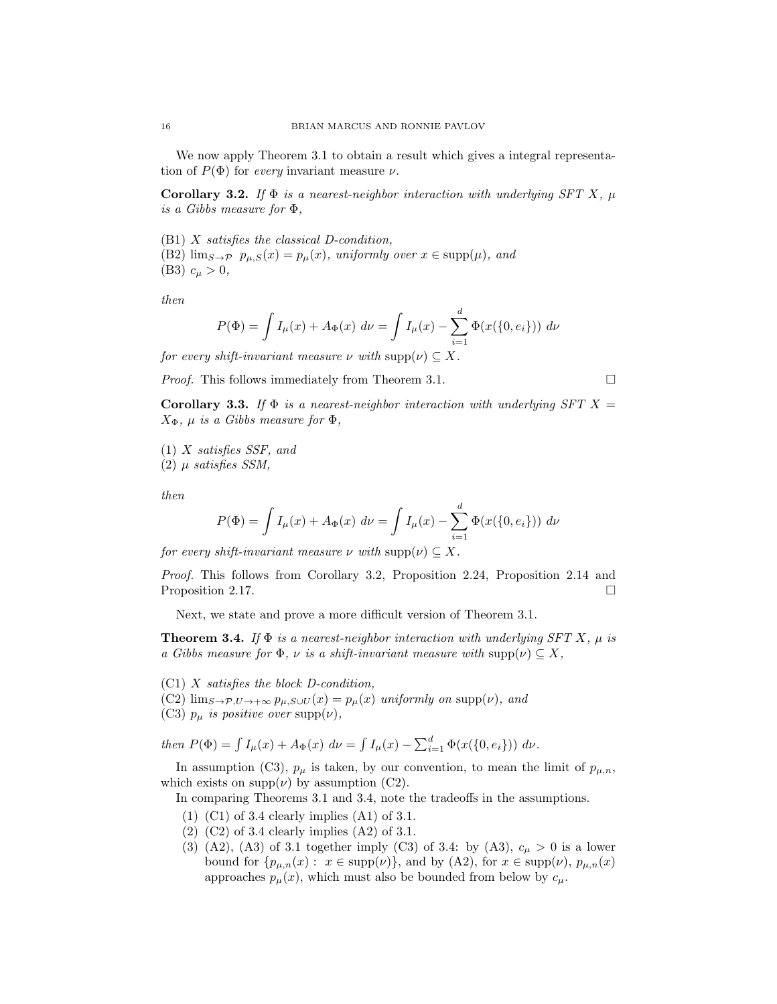We now apply Theorem 3.1 to obtain a result which gives a integral representation of  $P(\Phi)$  for *every* invariant measure  $\nu$ .

**Corollary 3.2.** *If*  $\Phi$  *is a nearest-neighbor interaction with underlying SFT X*,  $\mu$ *is a Gibbs measure for* Φ*,*

(B1) *X satisfies the classical D-condition,*

(B2)  $\lim_{S \to \mathcal{P}} p_{\mu,S}(x) = p_{\mu}(x)$ *, uniformly over*  $x \in \text{supp}(\mu)$ *, and* (B3)  $c_{\mu} > 0$ ,

*then*

$$
P(\Phi) = \int I_{\mu}(x) + A_{\Phi}(x) \, d\nu = \int I_{\mu}(x) - \sum_{i=1}^{d} \Phi(x(\{0, e_i\})) \, d\nu
$$

*for every shift-invariant measure*  $\nu$  *with*  $\text{supp}(\nu) \subseteq X$ .

*Proof.* This follows immediately from Theorem 3.1. □

**Corollary 3.3.** *If*  $\Phi$  *is a nearest-neighbor interaction with underlying SFT*  $X =$ *X*Φ*, µ is a Gibbs measure for* Φ*,*

(1) *X satisfies SSF, and* (2) *µ satisfies SSM,*

*then*

$$
P(\Phi) = \int I_{\mu}(x) + A_{\Phi}(x) d\nu = \int I_{\mu}(x) - \sum_{i=1}^{d} \Phi(x(\{0, e_i\})) d\nu
$$

*for every shift-invariant measure*  $\nu$  *with*  $\text{supp}(\nu) \subseteq X$ .

*Proof.* This follows from Corollary 3.2, Proposition 2.24, Proposition 2.14 and Proposition 2.17.

Next, we state and prove a more difficult version of Theorem 3.1.

**Theorem 3.4.** *If* Φ *is a nearest-neighbor interaction with underlying SFT X, µ is a Gibbs measure for*  $\Phi$ *,*  $\nu$  *is a shift-invariant measure with*  $\text{supp}(\nu) \subseteq X$ *,* 

(C1) *X satisfies the block D-condition,*

 $(C2)$   $\lim_{S\to\mathcal{P},U\to+\infty} p_{\mu,S\cup U}(x) = p_{\mu}(x)$  *uniformly on*  $\text{supp}(\nu)$ *, and* (C3)  $p_{\mu}$  *is positive over* supp $(\nu)$ *,* 

*then*  $P(\Phi) = \int I_{\mu}(x) + A_{\Phi}(x) d\nu = \int I_{\mu}(x) - \sum_{i=1}^{d} \Phi(x(\{0, e_i\})) d\nu$ .

In assumption (C3),  $p_{\mu}$  is taken, by our convention, to mean the limit of  $p_{\mu,n}$ , which exists on  $\text{supp}(\nu)$  by assumption (C2).

In comparing Theorems 3.1 and 3.4, note the tradeoffs in the assumptions.

- (1) (C1) of 3.4 clearly implies (A1) of 3.1.
- (2) (C2) of 3.4 clearly implies (A2) of 3.1.
- (3) (A2), (A3) of 3.1 together imply (C3) of 3.4: by (A3),  $c_{\mu} > 0$  is a lower bound for  $\{p_{\mu,n}(x): x \in \text{supp}(\nu)\}\$ , and by  $(A2)$ , for  $x \in \text{supp}(\nu)$ ,  $p_{\mu,n}(x)$ approaches  $p_{\mu}(x)$ , which must also be bounded from below by  $c_{\mu}$ .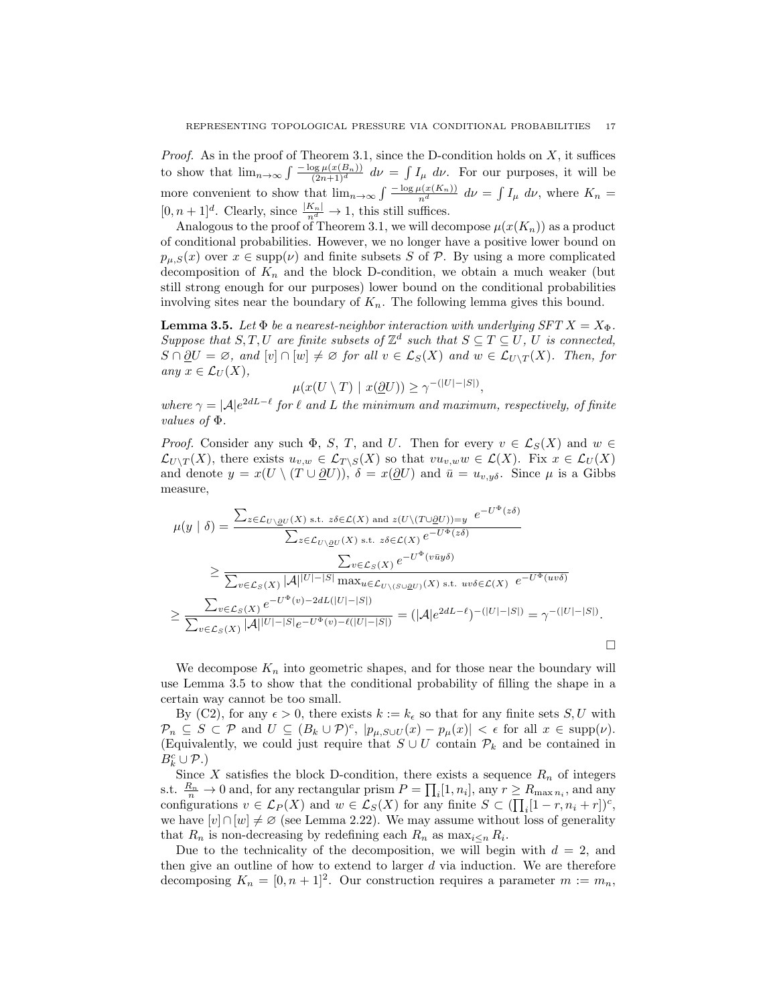*Proof.* As in the proof of Theorem 3.1, since the D-condition holds on *X*, it suffices to show that  $\lim_{n\to\infty} \int \frac{-\log \mu(x(B_n))}{(2n+1)^d} d\nu = \int I_\mu d\nu$ . For our purposes, it will be more convenient to show that  $\lim_{n\to\infty} \int \frac{-\log \mu(x(K_n))}{n^d} d\nu = \int I_\mu d\nu$ , where  $K_n =$  $[0, n+1]^d$ . Clearly, since  $\frac{|K_n|}{n^d} \to 1$ , this still suffices.

Analogous to the proof of Theorem 3.1, we will decompose  $\mu(x(K_n))$  as a product of conditional probabilities. However, we no longer have a positive lower bound on  $p_{\mu,S}(x)$  over  $x \in \text{supp}(\nu)$  and finite subsets *S* of *P*. By using a more complicated decomposition of  $K_n$  and the block D-condition, we obtain a much weaker (but still strong enough for our purposes) lower bound on the conditional probabilities involving sites near the boundary of *Kn*. The following lemma gives this bound.

**Lemma 3.5.** *Let*  $\Phi$  *be a nearest-neighbor interaction with underlying SFT*  $X = X_{\Phi}$ *. Suppose that*  $S, T, U$  *are finite subsets of*  $\mathbb{Z}^d$  *such that*  $S \subseteq T \subseteq U$ , *U is connected, S* ∩  $\partial U = \emptyset$ *, and*  $[v] ∩ [w] ≠ \emptyset$  *for all*  $v ∈ L_S(X)$  *and*  $w ∈ L_{U \setminus T}(X)$ *. Then, for*  $any \; x \in \mathcal{L}_U(X)$ ,

$$
\mu(x(U \setminus T) \mid x(\underline{\partial} U)) \ge \gamma^{-(|U| - |S|)},
$$

*where*  $\gamma = |A|e^{2dL-\ell}$  *for*  $\ell$  *and*  $L$  *the minimum and maximum, respectively, of finite values of* Φ*.*

*Proof.* Consider any such  $\Phi$ , *S*, *T*, and *U*. Then for every  $v \in \mathcal{L}_S(X)$  and  $w \in$  $\mathcal{L}_{U\setminus T}(X)$ , there exists  $u_{v,w} \in \mathcal{L}_{T\setminus S}(X)$  so that  $vu_{v,w}w \in \mathcal{L}(X)$ . Fix  $x \in \mathcal{L}_U(X)$ and denote  $y = x(U \setminus (T \cup \partial U))$ ,  $\delta = x(\partial U)$  and  $\bar{u} = u_{v,y\delta}$ . Since  $\mu$  is a Gibbs measure,

$$
\mu(y \mid \delta) = \frac{\sum_{z \in \mathcal{L}_{U \setminus \underline{\partial}U}(X) \text{ s.t. } z\delta \in \mathcal{L}(X) \text{ and } z(U \setminus (T \cup \underline{\partial}U)) = y} e^{-U^{\Phi}(z\delta)} \cdot \frac{\sum_{z \in \mathcal{L}_{U \setminus \underline{\partial}U}(X) \text{ s.t. } z\delta \in \mathcal{L}(X)} e^{-U^{\Phi}(z\delta)}}{\sum_{v \in \mathcal{L}_S(X)} |\mathcal{A}|^{|U| - |S|} \max_{u \in \mathcal{L}_{U \setminus (S \cup \underline{\partial}U)}(X) \text{ s.t. } uv\delta \in \mathcal{L}(X)} e^{-U^{\Phi}(uv\delta)}} \cdot \frac{\sum_{v \in \mathcal{L}_S(X)} |\mathcal{A}|^{|U| - |S|} \max_{u \in \mathcal{L}_{U \setminus (S \cup \underline{\partial}U)}(X) \text{ s.t. } uv\delta \in \mathcal{L}(X)} e^{-U^{\Phi}(uv\delta)}}{\sum_{v \in \mathcal{L}_S(X)} \sum_{v \in \mathcal{L}_S(X)} e^{-U^{\Phi}(v) - 2dL(|U| - |S|)}} = (|\mathcal{A}| e^{2dL - \ell}) - (|U| - |S|) = \gamma - (|U| - |S|).
$$

We decompose  $K_n$  into geometric shapes, and for those near the boundary will use Lemma 3.5 to show that the conditional probability of filling the shape in a certain way cannot be too small.

By (C2), for any  $\epsilon > 0$ , there exists  $k := k_{\epsilon}$  so that for any finite sets *S*, *U* with  $\mathcal{P}_n \subseteq S \subset \mathcal{P}$  and  $U \subseteq (B_k \cup \mathcal{P})^c$ ,  $|p_{\mu,S \cup U}(x) - p_{\mu}(x)| < \epsilon$  for all  $x \in \text{supp}(\nu)$ . (Equivalently, we could just require that  $S \cup U$  contain  $P_k$  and be contained in  $B_k^c \cup \mathcal{P}$ .)

Since *X* satisfies the block D-condition, there exists a sequence  $R_n$  of integers s.t.  $\frac{R_n}{n} \to 0$  and, for any rectangular prism  $P = \prod_i [1, n_i]$ , any  $r \ge R_{\max n_i}$ , and any configurations  $v \in \mathcal{L}_P(X)$  and  $w \in \mathcal{L}_S(X)$  for any finite  $S \subset (\prod_i [1-r, n_i + r])^c$ , we have  $[v] \cap [w] \neq \emptyset$  (see Lemma 2.22). We may assume without loss of generality that  $R_n$  is non-decreasing by redefining each  $R_n$  as  $\max_{i \leq n} R_i$ .

Due to the technicality of the decomposition, we will begin with  $d = 2$ , and then give an outline of how to extend to larger *d* via induction. We are therefore decomposing  $K_n = [0, n+1]^2$ . Our construction requires a parameter  $m := m_n$ ,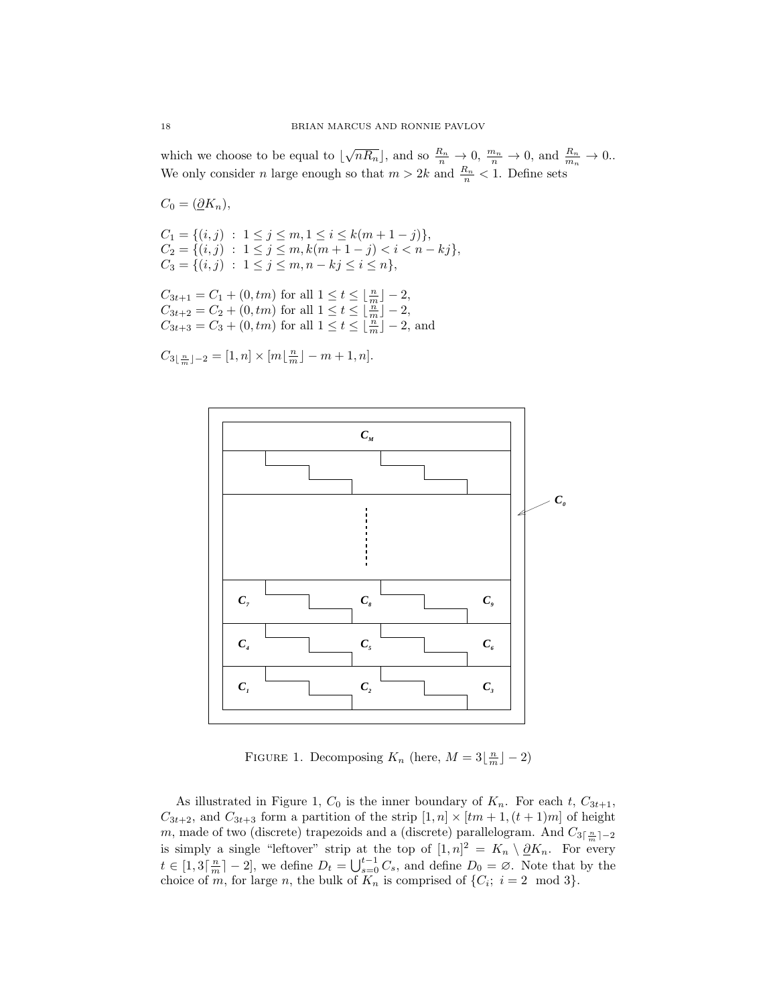which we choose to be equal to  $\lfloor \sqrt{nR_n} \rfloor$ , and so  $\frac{R_n}{n} \to 0$ ,  $\frac{m_n}{n} \to 0$ , and  $\frac{R_n}{m_n} \to 0$ . We only consider *n* large enough so that  $m > 2k$  and  $\frac{R_n}{n} < 1$ . Define sets

$$
C_0 = (\underline{\partial} K_n),
$$

$$
C_1 = \{(i, j) : 1 \le j \le m, 1 \le i \le k(m + 1 - j)\},
$$
  
\n
$$
C_2 = \{(i, j) : 1 \le j \le m, k(m + 1 - j) < i < n - kj\},
$$
  
\n
$$
C_3 = \{(i, j) : 1 \le j \le m, n - kj \le i \le n\},
$$

 $C_{3t+1} = C_1 + (0,tm)$  for all  $1 \le t \le \lfloor \frac{n}{m} \rfloor - 2$ ,  $C_{3t+2} = C_2 + (0,tm)$  for all  $1 \le t \le \lfloor \frac{m}{m} \rfloor - 2$ ,  $C_{3t+3} = C_3 + (0,tm)$  for all  $1 \le t \le \lfloor \frac{m}{m} \rfloor - 2$ , and

 $C_{3\lfloor \frac{n}{m} \rfloor-2} = [1, n] \times [m\lfloor \frac{n}{m} \rfloor - m + 1, n].$ 



FIGURE 1. Decomposing  $K_n$  (here,  $M = 3\left\lfloor \frac{n}{m} \right\rfloor - 2$ )

As illustrated in Figure 1,  $C_0$  is the inner boundary of  $K_n$ . For each  $t$ ,  $C_{3t+1}$ ,  $C_{3t+2}$ , and  $C_{3t+3}$  form a partition of the strip  $[1, n] \times [tm+1, (t+1)m]$  of height *m*, made of two (discrete) trapezoids and a (discrete) parallelogram. And  $C_{3\lceil \frac{n}{m}\rceil-2}$ is simply a single "leftover" strip at the top of  $[1,n]^2 = K_n \setminus \partial K_n$ . For every  $t \in [1,3\lceil \frac{n}{m} \rceil - 2]$ , we define  $D_t = \bigcup_{s=0}^{t-1} C_s$ , and define  $D_0 = \emptyset$ . Note that by the choice of *m*, for large *n*, the bulk of  $K_n$  is comprised of  $\{C_i; i = 2 \mod 3\}$ .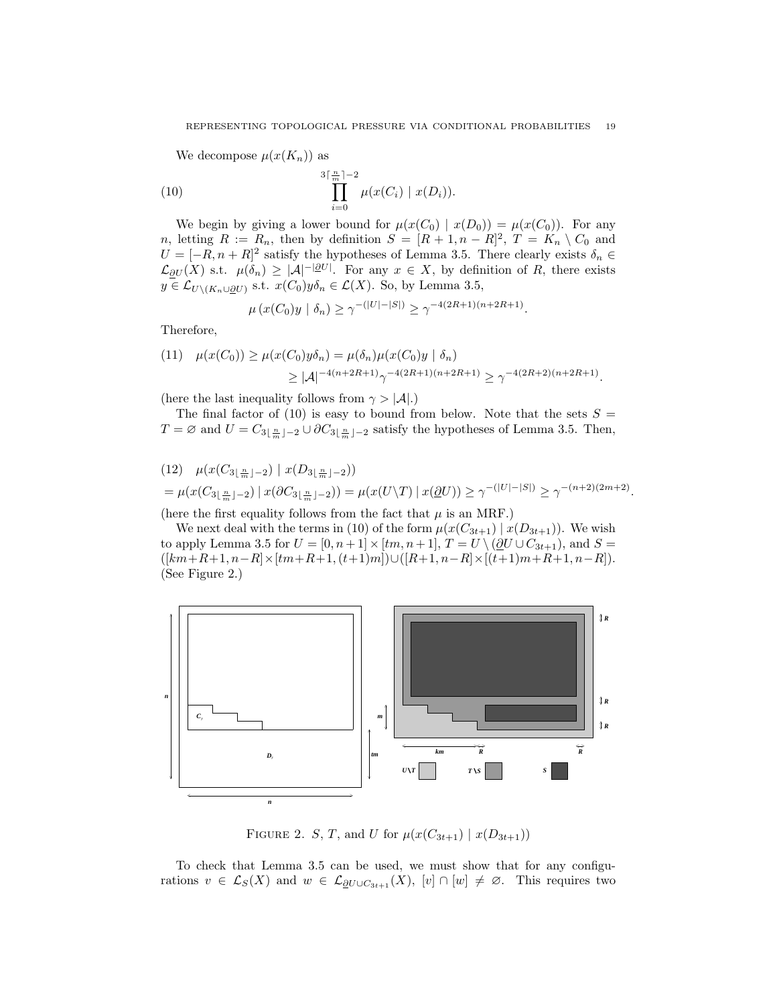We decompose  $\mu(x(K_n))$  as

(10) 
$$
\prod_{i=0}^{3\lceil \frac{n}{m}\rceil-2} \mu(x(C_i) \mid x(D_i)).
$$

We begin by giving a lower bound for  $\mu(x(C_0) | x(D_0)) = \mu(x(C_0))$ . For any *n*, letting  $R := R_n$ , then by definition  $S = [R + 1, n - R]^2$ ,  $T = K_n \setminus C_0$  and  $U = [-R, n + R]^2$  satisfy the hypotheses of Lemma 3.5. There clearly exists  $\delta_n \in$  $\mathcal{L}_{\partial U}(X)$  s.t.  $\mu(\delta_n) \geq |\mathcal{A}|^{-|\partial U|}$ . For any  $x \in X$ , by definition of *R*, there exists *y* ∈  $\mathcal{L}_{U \setminus (K_n \cup \partial U)}$  s.t. *x*(*C*<sub>0</sub>)*y* $\delta_n$  ∈  $\mathcal{L}(X)$ . So, by Lemma 3.5,

$$
\mu(x(C_0)y \mid \delta_n) \ge \gamma^{-(|U|-|S|)} \ge \gamma^{-4(2R+1)(n+2R+1)}.
$$

Therefore,

$$
(11) \quad \mu(x(C_0)) \ge \mu(x(C_0)y\delta_n) = \mu(\delta_n)\mu(x(C_0)y \mid \delta_n)
$$
  
 
$$
\ge |A|^{-4(n+2R+1)}\gamma^{-4(2R+1)(n+2R+1)} \ge \gamma^{-4(2R+2)(n+2R+1)}.
$$

(here the last inequality follows from  $\gamma > |A|$ .)

The final factor of  $(10)$  is easy to bound from below. Note that the sets  $S =$ *T* = ∅ and  $U = C_{3\lfloor \frac{n}{m} \rfloor - 2} \cup \partial C_{3\lfloor \frac{n}{m} \rfloor - 2}$  satisfy the hypotheses of Lemma 3.5. Then,

$$
(12) \quad \mu(x(C_{3\lfloor \frac{n}{m} \rfloor-2}) \mid x(D_{3\lfloor \frac{n}{m} \rfloor-2}))
$$
  
=  $\mu(x(C_{3\lfloor \frac{n}{m} \rfloor-2}) \mid x(\partial C_{3\lfloor \frac{n}{m} \rfloor-2})) = \mu(x(U\setminus T) \mid x(\underline{\partial}U)) \ge \gamma^{-(|U|-|S|)} \ge \gamma^{-(n+2)(2m+2)}$ 

*.*

(here the first equality follows from the fact that  $\mu$  is an MRF.)

We next deal with the terms in (10) of the form  $\mu(x(C_{3t+1}) | x(D_{3t+1}))$ . We wish to apply Lemma 3.5 for  $U = [0, n+1] \times [tm, n+1]$ ,  $T = U \setminus (\partial U \cup C_{3t+1})$ , and  $S =$ ([*km*+*R*+1*, n−R*]*×*[*tm*+*R*+1*,*(*t*+1)*m*])*∪*([*R*+1*, n−R*]*×*[(*t*+1)*m*+*R*+1*, n−R*]). (See Figure 2.)



FIGURE 2. *S*, *T*, and *U* for  $\mu(x(C_{3t+1}) | x(D_{3t+1}))$ 

To check that Lemma 3.5 can be used, we must show that for any configurations  $v \in \mathcal{L}_S(X)$  and  $w \in \mathcal{L}_{\partial U \cup C_{3t+1}}(X)$ ,  $[v] \cap [w] \neq \emptyset$ . This requires two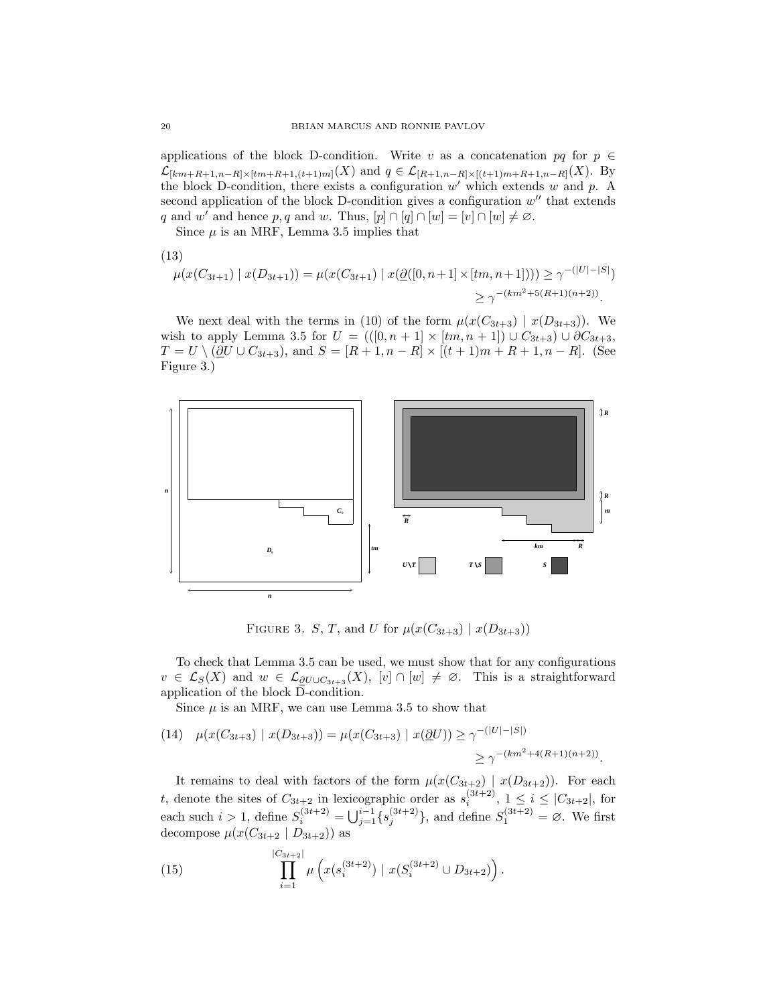applications of the block D-condition. Write *v* as a concatenation  $pq$  for  $p \in$  $\mathcal{L}_{[km+R+1,n-R]\times [tm+R+1,(t+1)m]}(X)$  and  $q \in \mathcal{L}_{[R+1,n-R]\times [(t+1)m+R+1,n-R]}(X)$ . By the block D-condition, there exists a configuration *w ′* which extends *w* and *p*. A second application of the block D-condition gives a configuration  $w''$  that extends *q* and *w*<sup>'</sup> and hence *p*, *q* and *w*. Thus,  $[p] \cap [q] \cap [w] = [v] \cap [w] \neq \emptyset$ .

Since  $\mu$  is an MRF, Lemma 3.5 implies that

(13)

$$
\mu(x(C_{3t+1}) \mid x(D_{3t+1})) = \mu(x(C_{3t+1}) \mid x(\underline{\partial}([0, n+1] \times [tm, n+1]))) \ge \gamma^{-(|U| - |S|)} \ge \gamma^{-(km^2 + 5(R+1)(n+2))}.
$$

We next deal with the terms in (10) of the form  $\mu(x(C_{3t+3}) | x(D_{3t+3}))$ . We wish to apply Lemma 3.5 for  $U = (([0, n + 1] \times [tm, n + 1]) \cup C_{3t+3}) \cup \partial C_{3t+3}$ , *T* = *U*  $\setminus$  ( $\partial$ *U* ∪  $C_{3t+3}$ ), and *S* = [*R* + 1*, n* − *R*]  $\times$  [(*t* + 1)*m* + *R* + 1*, n* − *R*]. (See Figure 3.)



FIGURE 3. *S*, *T*, and *U* for  $\mu(x(C_{3t+3}) | x(D_{3t+3}))$ 

To check that Lemma 3.5 can be used, we must show that for any configurations  $v \in \mathcal{L}_S(X)$  and  $w \in \mathcal{L}_{\partial U \cup C_{3t+3}}(X)$ ,  $[v] \cap [w] \neq \emptyset$ . This is a straightforward application of the block D-condition.

Since  $\mu$  is an MRF, we can use Lemma 3.5 to show that

(14) 
$$
\mu(x(C_{3t+3}) | x(D_{3t+3})) = \mu(x(C_{3t+3}) | x(\underline{\partial}U)) \ge \gamma^{-(|U|-|S|)}
$$
  
 $\ge \gamma^{-(km^2+4(R+1)(n+2))}$ .

It remains to deal with factors of the form  $\mu(x(C_{3t+2}) \mid x(D_{3t+2}))$ . For each *t*, denote the sites of  $C_{3t+2}$  in lexicographic order as  $s_i^{(3t+2)}$ ,  $1 \le i \le |C_{3t+2}|$ , for each such  $i > 1$ , define  $S_i^{(3t+2)} = \bigcup_{j=1}^{i-1} \{s_j^{(3t+2)}\}$ , and define  $S_1^{(3t+2)} = \emptyset$ . We first decompose  $\mu(x(C_{3t+2} | D_{3t+2}))$  as

(15) 
$$
\prod_{i=1}^{|C_{3t+2}|} \mu\left(x(s_i^{(3t+2)}) \mid x(S_i^{(3t+2)} \cup D_{3t+2})\right).
$$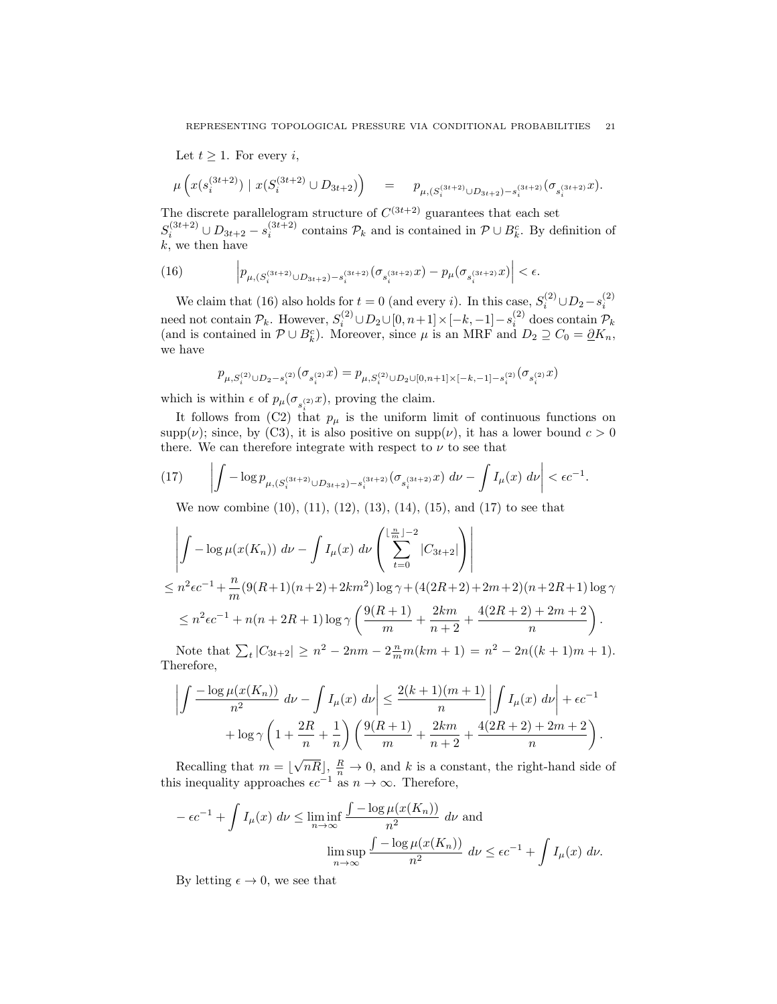Let  $t \geq 1$ . For every *i*,

$$
\mu\left(x(s^{(3t+2)}_i)\ |\ x(S^{(3t+2)}_i\cup D_{3t+2})\right)\quad =\quad p_{\mu, (S^{(3t+2)}_i\cup D_{3t+2})-s^{(3t+2)}_i}(\sigma_{s^{(3t+2)}_i}x).
$$

The discrete parallelogram structure of  $C^{(3t+2)}$  guarantees that each set  $S_i^{(3t+2)} \cup D_{3t+2} - s_i^{(3t+2)}$  contains  $\mathcal{P}_k$  and is contained in  $\mathcal{P} \cup B_k^c$ . By definition of *k*, we then have

(16) 
$$
\left| p_{\mu,(S_i^{(3t+2)} \cup D_{3t+2}) - s_i^{(3t+2)}} (\sigma_{s_i^{(3t+2)}} x) - p_{\mu} (\sigma_{s_i^{(3t+2)}} x) \right| < \epsilon.
$$

We claim that (16) also holds for  $t = 0$  (and every *i*). In this case,  $S_i^{(2)} \cup D_2 - s_i^{(2)}$ need not contain  $\mathcal{P}_k$ . However,  $S_i^{(2)} \cup D_2 \cup [0, n+1] \times [-k, -1] - s_i^{(2)}$  does contain  $\mathcal{P}_k$ (and is contained in  $\mathcal{P} \cup B_k^c$ ). Moreover, since  $\mu$  is an MRF and  $D_2 \supseteq C_0 = \underline{\partial} K_n$ , we have

$$
p_{\mu, S_i^{(2)} \cup D_2 - s_i^{(2)}} (\sigma_{s_i^{(2)}} x) = p_{\mu, S_i^{(2)} \cup D_2 \cup [0, n+1] \times [-k, -1] - s_i^{(2)}} (\sigma_{s_i^{(2)}} x)
$$

which is within  $\epsilon$  of  $p_{\mu}(\sigma_{s_i^{(2)}}x)$ , proving the claim.

It follows from (C2) that  $p_{\mu}$  is the uniform limit of continuous functions on supp( $\nu$ ); since, by (C3), it is also positive on supp( $\nu$ ), it has a lower bound  $c > 0$ there. We can therefore integrate with respect to  $\nu$  to see that

(17) 
$$
\left| \int -\log p_{\mu,(S_i^{(3t+2)} \cup D_{3t+2}) - s_i^{(3t+2)}} (\sigma_{s_i^{(3t+2)}} x) d\nu - \int I_{\mu}(x) d\nu \right| < \epsilon c^{-1}.
$$

We now combine (10), (11), (12), (13), (14), (15), and (17) to see that

$$
\left| \int -\log \mu(x(K_n)) \, d\nu - \int I_{\mu}(x) \, d\nu \left( \sum_{t=0}^{\lfloor \frac{n}{m} \rfloor - 2} |C_{3t+2}| \right) \right|
$$
  
\n
$$
\leq n^2 \epsilon c^{-1} + \frac{n}{m} (9(R+1)(n+2) + 2km^2) \log \gamma + (4(2R+2) + 2m + 2)(n+2R+1) \log \gamma
$$
  
\n
$$
\leq n^2 \epsilon c^{-1} + n(n+2R+1) \log \gamma \left( \frac{9(R+1)}{m} + \frac{2km}{n+2} + \frac{4(2R+2) + 2m + 2}{n} \right).
$$

Note that  $\sum_{t} |C_{3t+2}| \geq n^2 - 2nm - 2\frac{n}{m}m(km+1) = n^2 - 2n((k+1)m+1).$ Therefore,

$$
\left| \int \frac{-\log \mu(x(K_n))}{n^2} \, d\nu - \int I_{\mu}(x) \, d\nu \right| \le \frac{2(k+1)(m+1)}{n} \left| \int I_{\mu}(x) \, d\nu \right| + \epsilon c^{-1} + \log \gamma \left( 1 + \frac{2R}{n} + \frac{1}{n} \right) \left( \frac{9(R+1)}{m} + \frac{2km}{n+2} + \frac{4(2R+2) + 2m + 2}{n} \right).
$$

Recalling that  $m = \lceil$  $\overline{nR}$ ,  $\frac{R}{n} \to 0$ , and *k* is a constant, the right-hand side of this inequality approaches  $\epsilon c^{-1}$  as  $n \to \infty$ . Therefore,

$$
-\epsilon c^{-1} + \int I_{\mu}(x) \, d\nu \le \liminf_{n \to \infty} \frac{\int -\log \mu(x(K_n))}{n^2} \, d\nu \text{ and}
$$

$$
\limsup_{n \to \infty} \frac{\int -\log \mu(x(K_n))}{n^2} \, d\nu \le \epsilon c^{-1} + \int I_{\mu}(x) \, d\nu.
$$

By letting  $\epsilon \to 0$ , we see that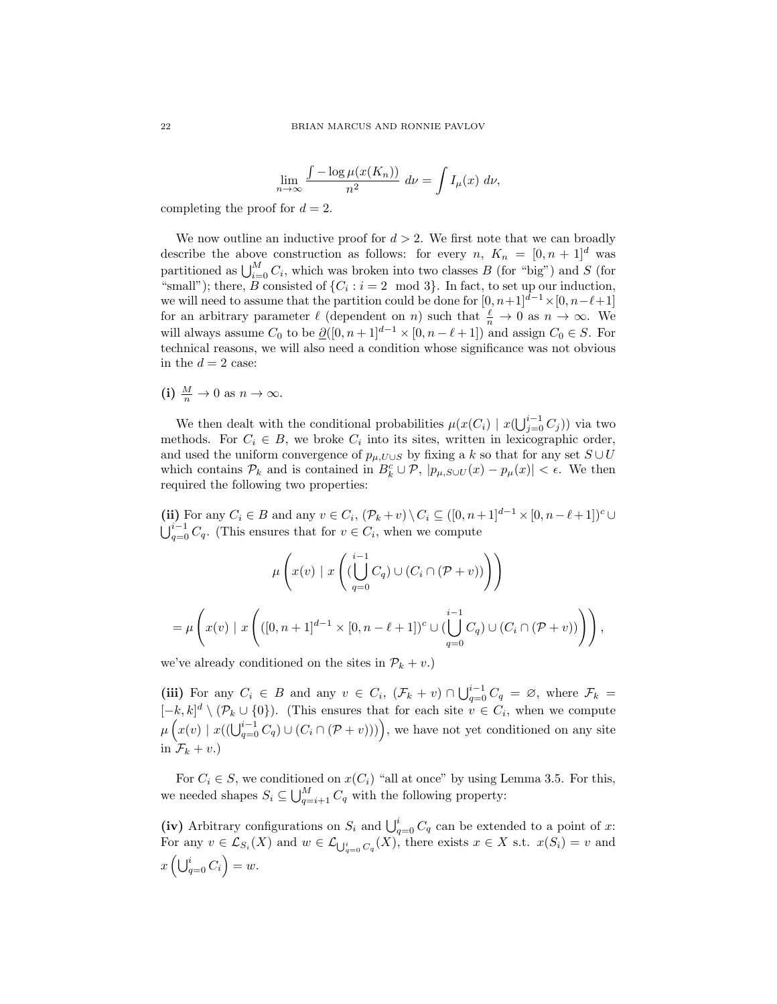$$
\lim_{n \to \infty} \frac{\int -\log \mu(x(K_n))}{n^2} \, d\nu = \int I_\mu(x) \, d\nu,
$$

completing the proof for  $d = 2$ .

We now outline an inductive proof for  $d > 2$ . We first note that we can broadly describe the above construction as follows: for every *n*,  $K_n = [0, n + 1]^d$  was partitioned as  $\bigcup_{i=0}^{M} C_i$ , which was broken into two classes *B* (for "big") and *S* (for "small"); there, *B* consisted of  $\{C_i : i = 2 \mod 3\}$ . In fact, to set up our induction, we will need to assume that the partition could be done for  $[0, n+1]^{d-1} \times [0, n-\ell+1]$ for an arbitrary parameter  $\ell$  (dependent on *n*) such that  $\frac{\ell}{n} \to 0$  as  $n \to \infty$ . We will always assume  $C_0$  to be  $\underline{\partial}([0, n+1]^{d-1} \times [0, n-\ell+1])$  and assign  $C_0 \in S$ . For technical reasons, we will also need a condition whose significance was not obvious in the  $d = 2$  case:

(i) 
$$
\frac{M}{n} \to 0
$$
 as  $n \to \infty$ .

We then dealt with the conditional probabilities  $\mu(x(C_i) \mid x(\bigcup_{j=0}^{i-1} C_j))$  via two methods. For  $C_i \in B$ , we broke  $C_i$  into its sites, written in lexicographic order, and used the uniform convergence of  $p_{\mu, U \cup S}$  by fixing a *k* so that for any set  $S \cup U$ which contains  $\mathcal{P}_k$  and is contained in  $B_k^c \cup \mathcal{P}$ ,  $|p_{\mu,S \cup U}(x) - p_{\mu}(x)| < \epsilon$ . We then required the following two properties:

(ii) For any  $C_i \in B$  and any  $v \in C_i$ ,  $(\mathcal{P}_k + v) \setminus C_i \subseteq ([0, n+1]^{d-1} \times [0, n-\ell+1])^c \cup$  $\bigcup_{q=0}^{i-1} C_q$ . (This ensures that for *v* ∈ *C<sub>i</sub>*, when we compute

$$
\mu\left(x(v) \mid x\left(\left(\bigcup_{q=0}^{i-1} C_q\right) \cup (C_i \cap (\mathcal{P} + v))\right)\right)
$$
  
= 
$$
\mu\left(x(v) \mid x\left(([0, n+1]^{d-1} \times [0, n-\ell+1])^c \cup (\bigcup_{q=0}^{i-1} C_q) \cup (C_i \cap (\mathcal{P} + v))\right)\right),
$$

we've already conditioned on the sites in  $\mathcal{P}_k + v$ .)

(iii) For any  $C_i \in B$  and any  $v \in C_i$ ,  $(\mathcal{F}_k + v) \cap \bigcup_{q=0}^{i-1} C_q = \emptyset$ , where  $\mathcal{F}_k =$  $[-k, k]^d \setminus (\mathcal{P}_k \cup \{0\})$ . (This ensures that for each site  $v \in C_i$ , when we compute  $\mu\left(x(v) \mid x((\bigcup_{q=0}^{i-1} C_q) \cup (C_i \cap (\mathcal{P} + v)))\right)$ , we have not yet conditioned on any site in  $\mathcal{F}_k + v$ .)

For  $C_i \in S$ , we conditioned on  $x(C_i)$  "all at once" by using Lemma 3.5. For this, we needed shapes  $S_i \subseteq \bigcup_{q=i+1}^M C_q$  with the following property:

(iv) Arbitrary configurations on  $S_i$  and  $\bigcup_{q=0}^i C_q$  can be extended to a point of *x*: For any  $v \in \mathcal{L}_{S_i}(X)$  and  $w \in \mathcal{L}_{\bigcup_{q=0}^i C_q}(X)$ , there exists  $x \in X$  s.t.  $x(S_i) = v$  and  $x\left(\bigcup_{q=0}^{i} C_i\right) = w.$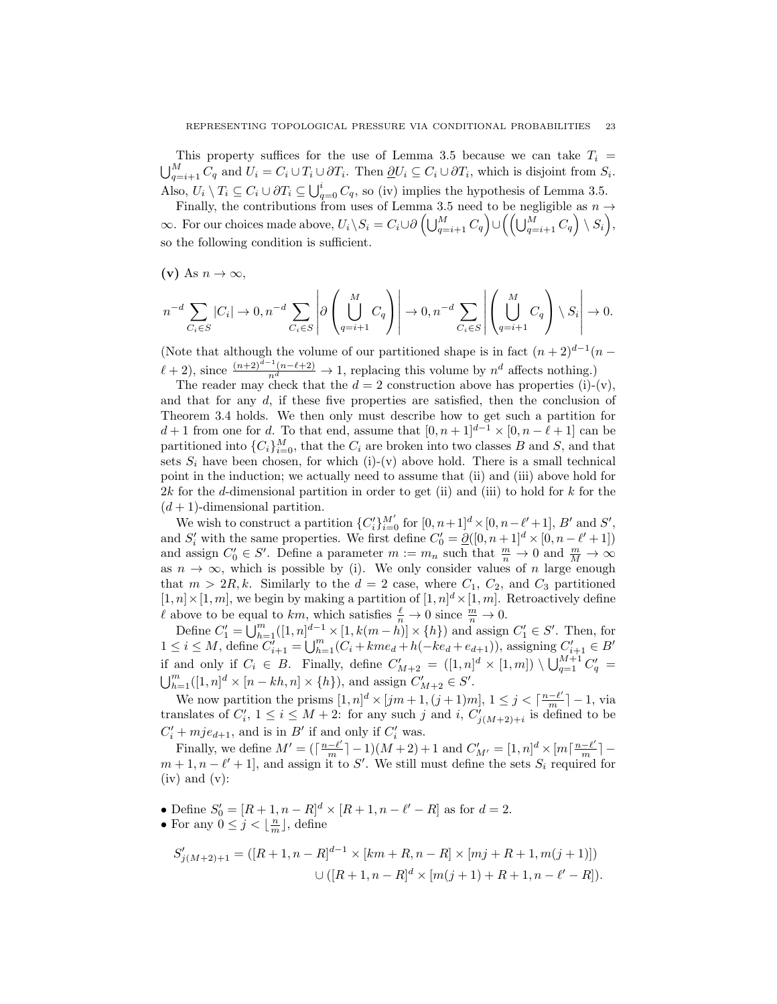This property suffices for the use of Lemma 3.5 because we can take  $T_i$  =  $\bigcup_{q=i+1}^{M} C_q$  and  $U_i = C_i \cup T_i \cup \partial T_i$ . Then  $\underline{\partial} U_i \subseteq C_i \cup \partial T_i$ , which is disjoint from  $S_i$ . Also,  $U_i \setminus T_i \subseteq C_i \cup \partial T_i \subseteq \bigcup_{q=0}^i C_q$ , so (iv) implies the hypothesis of Lemma 3.5.

Finally, the contributions from uses of Lemma 3.5 need to be negligible as  $n \rightarrow$  $\infty$ . For our choices made above,  $U_i \backslash S_i = C_i \cup \partial \left( \bigcup_{q=i+1}^M C_q \right) \cup \left( \left( \bigcup_{q=i+1}^M C_q \right) \backslash S_i \right)$ , so the following condition is sufficient.

 $(v)$  As  $n \to \infty$ ,

$$
n^{-d} \sum_{C_i \in S} |C_i| \to 0, n^{-d} \sum_{C_i \in S} \left| \partial \left( \bigcup_{q=i+1}^M C_q \right) \right| \to 0, n^{-d} \sum_{C_i \in S} \left| \left( \bigcup_{q=i+1}^M C_q \right) \setminus S_i \right| \to 0.
$$

(Note that although the volume of our partitioned shape is in fact  $(n+2)^{d-1}(n-1)$  $\ell + 2$ , since  $\frac{(n+2)^{d-1}(n-\ell+2)}{n^d} \to 1$ , replacing this volume by  $n^d$  affects nothing.)

The reader may check that the  $d = 2$  construction above has properties (i)-(v), and that for any *d*, if these five properties are satisfied, then the conclusion of Theorem 3.4 holds. We then only must describe how to get such a partition for *d* + 1 from one for *d*. To that end, assume that  $[0, n+1]^{d-1} \times [0, n-\ell+1]$  can be partitioned into  ${C_i}_{i=0}^M$ , that the  $C_i$  are broken into two classes *B* and *S*, and that sets  $S_i$  have been chosen, for which (i)-(v) above hold. There is a small technical point in the induction; we actually need to assume that (ii) and (iii) above hold for 2*k* for the *d*-dimensional partition in order to get (ii) and (iii) to hold for *k* for the  $(d+1)$ -dimensional partition.

We wish to construct a partition  $\{C_i'\}_{i=0}^{M'}$  for  $[0, n+1]^d \times [0, n-\ell'+1]$ , *B'* and *S'*, and  $S'_i$  with the same properties. We first define  $C'_0 = \underline{\partial}([0, n+1]^d \times [0, n-\ell'+1])$ and assign  $C'_0 \in S'$ . Define a parameter  $m := m_n$  such that  $\frac{m}{n} \to 0$  and  $\frac{m}{M} \to \infty$ as  $n \to \infty$ , which is possible by (i). We only consider values of *n* large enough that  $m > 2R, k$ . Similarly to the  $d = 2$  case, where  $C_1, C_2$ , and  $C_3$  partitioned  $[1, n] \times [1, m]$ , we begin by making a partition of  $[1, n]$ <sup>d</sup>  $\times [1, m]$ . Retroactively define *ℓ* above to be equal to *km*, which satisfies  $\frac{\ell}{n} \to 0$  since  $\frac{m}{n} \to 0$ .

Define  $C'_1 = \bigcup_{h=1}^m ([1, n]^{d-1} \times [1, k(m-h)] \times \{h\})$  and assign  $C'_1 \in S'$ . Then, for  $1 \leq i \leq M$ , define  $C'_{i+1} = \bigcup_{h=1}^{m} (C_i + kme_d + h(-ke_d + e_{d+1}))$ , assigning  $C'_{i+1} \in B'$ if and only if  $C_i \in B$ . Finally, define  $C'_{M+2} = ([1, n]^d \times [1, m]) \setminus \bigcup_{q=1}^{M+1} C'_q =$  $\bigcup_{h=1}^{m}([1,n]^{d} \times [n-kh,n] \times \{h\})$ , and assign  $C'_{M+2} \in S'$ .

We now partition the prisms  $[1, n]^d \times [jm+1, (j+1)m], 1 \le j < \lceil \frac{n-\ell'}{m} \rceil - 1$ , via translates of  $C'_i$ ,  $1 \leq i \leq M+2$ : for any such *j* and *i*,  $C'_{j(M+2)+i}$  is defined to be  $C'_{i} + mje_{d+1}$ , and is in *B*<sup>*'*</sup> if and only if  $C'_{i}$  was.

Finally, we define  $M' = (\lceil \frac{n-\ell'}{m} \rceil - 1)(M+2) + 1$  and  $C'_{M'} = [1, n]^d \times [m \lceil \frac{n-\ell'}{m} \rceil - 1$  $m+1, n-\ell'+1$ , and assign it to *S'*. We still must define the sets  $S_i$  required for  $(iv)$  and  $(v)$ :

- Define  $S'_0 = [R+1, n-R]^d \times [R+1, n-\ell'-R]$  as for  $d=2$ .
- For any  $0 \leq j < \lfloor \frac{n}{m} \rfloor$ , define

$$
S'_{j(M+2)+1} = ([R+1, n-R]^{d-1} \times [km+R, n-R] \times [mj+R+1, m(j+1)])
$$
  

$$
\cup ([R+1, n-R]^{d} \times [m(j+1)+R+1, n-\ell'-R]).
$$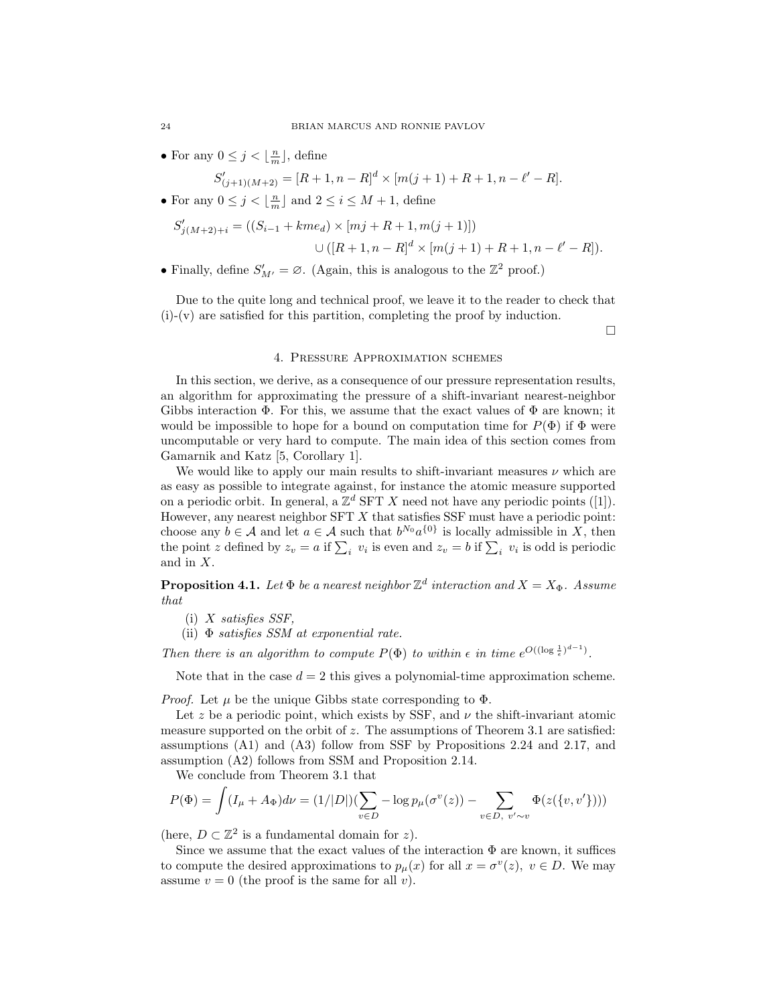• For any  $0 \leq j < \lfloor \frac{n}{m} \rfloor$ , define

$$
S'_{(j+1)(M+2)} = [R+1, n-R]^d \times [m(j+1) + R + 1, n - \ell' - R].
$$

• For any  $0 \leq j < \lfloor \frac{n}{m} \rfloor$  and  $2 \leq i \leq M+1$ , define

$$
S'_{j(M+2)+i} = ((S_{i-1} + kme_d) \times [mj + R + 1, m(j+1)])
$$
  

$$
\cup ([R+1, n-R]^d \times [m(j+1) + R + 1, n - \ell' - R]).
$$

• Finally, define  $S'_{M'} = \emptyset$ . (Again, this is analogous to the  $\mathbb{Z}^2$  proof.)

Due to the quite long and technical proof, we leave it to the reader to check that (i)-(v) are satisfied for this partition, completing the proof by induction.

 $\Box$ 

#### 4. Pressure Approximation schemes

In this section, we derive, as a consequence of our pressure representation results, an algorithm for approximating the pressure of a shift-invariant nearest-neighbor Gibbs interaction  $\Phi$ . For this, we assume that the exact values of  $\Phi$  are known; it would be impossible to hope for a bound on computation time for  $P(\Phi)$  if  $\Phi$  were uncomputable or very hard to compute. The main idea of this section comes from Gamarnik and Katz [5, Corollary 1].

We would like to apply our main results to shift-invariant measures *ν* which are as easy as possible to integrate against, for instance the atomic measure supported on a periodic orbit. In general, a  $\mathbb{Z}^d$  SFT X need not have any periodic points ([1]). However, any nearest neighbor SFT *X* that satisfies SSF must have a periodic point: choose any  $b \in \mathcal{A}$  and let  $a \in \mathcal{A}$  such that  $b^{N_0} a^{\{0\}}$  is locally admissible in *X*, then the point *z* defined by  $z_v = a$  if  $\sum_i v_i$  is even and  $z_v = b$  if  $\sum_i v_i$  is odd is periodic and in *X*.

**Proposition 4.1.** Let  $\Phi$  be a nearest neighbor  $\mathbb{Z}^d$  interaction and  $X = X_{\Phi}$ . Assume *that*

- (i) *X satisfies SSF,*
- (ii) Φ *satisfies SSM at exponential rate.*

*Then there is an algorithm to compute*  $P(\Phi)$  *to within*  $\epsilon$  *in time*  $e^{O((\log \frac{1}{\epsilon})^{d-1})}$ *.* 

Note that in the case  $d = 2$  this gives a polynomial-time approximation scheme.

*Proof.* Let *µ* be the unique Gibbs state corresponding to Φ.

Let  $z$  be a periodic point, which exists by SSF, and  $\nu$  the shift-invariant atomic measure supported on the orbit of *z*. The assumptions of Theorem 3.1 are satisfied: assumptions (A1) and (A3) follow from SSF by Propositions 2.24 and 2.17, and assumption (A2) follows from SSM and Proposition 2.14.

We conclude from Theorem 3.1 that

$$
P(\Phi) = \int (I_{\mu} + A_{\Phi}) d\nu = (1/|D|) \left( \sum_{v \in D} -\log p_{\mu}(\sigma^{v}(z)) - \sum_{v \in D, v' \sim v} \Phi(z(\{v, v'\})) \right)
$$

(here,  $D \subset \mathbb{Z}^2$  is a fundamental domain for *z*).

Since we assume that the exact values of the interaction  $\Phi$  are known, it suffices to compute the desired approximations to  $p_{\mu}(x)$  for all  $x = \sigma^v(z)$ ,  $v \in D$ . We may assume  $v = 0$  (the proof is the same for all *v*).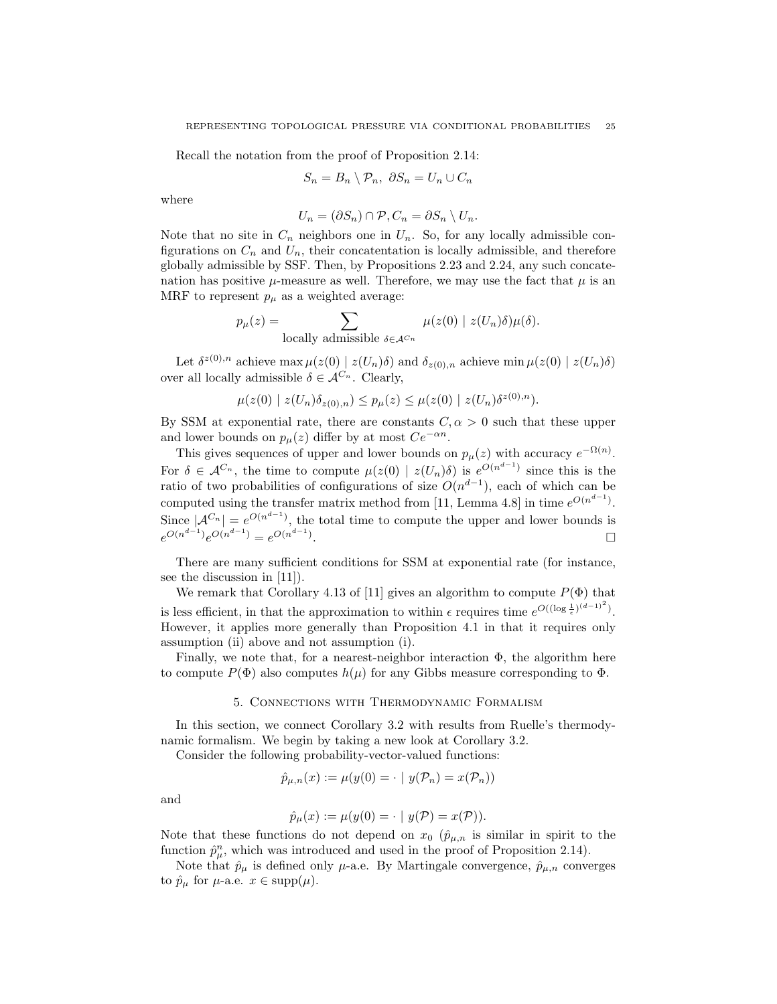Recall the notation from the proof of Proposition 2.14:

$$
S_n = B_n \setminus \mathcal{P}_n, \ \partial S_n = U_n \cup C_n
$$

where

$$
U_n = (\partial S_n) \cap \mathcal{P}, C_n = \partial S_n \setminus U_n.
$$

Note that no site in  $C_n$  neighbors one in  $U_n$ . So, for any locally admissible configurations on  $C_n$  and  $U_n$ , their concatentation is locally admissible, and therefore globally admissible by SSF. Then, by Propositions 2.23 and 2.24, any such concatenation has positive  $\mu$ -measure as well. Therefore, we may use the fact that  $\mu$  is an MRF to represent  $p_{\mu}$  as a weighted average:

$$
p_{\mu}(z) = \sum_{\text{locally admissible } \delta \in \mathcal{A}^{C_n}} \mu(z(0) \mid z(U_n)\delta)\mu(\delta).
$$

Let  $\delta^{z(0),n}$  achieve max  $\mu(z(0) \mid z(U_n)\delta)$  and  $\delta_{z(0),n}$  achieve min  $\mu(z(0) \mid z(U_n)\delta)$ over all locally admissible  $\delta \in A^{C_n}$ . Clearly,

$$
\mu(z(0) \mid z(U_n)\delta_{z(0),n}) \le p_{\mu}(z) \le \mu(z(0) \mid z(U_n)\delta^{z(0),n}).
$$

By SSM at exponential rate, there are constants  $C, \alpha > 0$  such that these upper and lower bounds on  $p_\mu(z)$  differ by at most  $Ce^{-\alpha n}$ .

This gives sequences of upper and lower bounds on  $p_{\mu}(z)$  with accuracy  $e^{-\Omega(n)}$ . For  $\delta \in \mathcal{A}^{C_n}$ , the time to compute  $\mu(z(0) | z(U_n)\delta)$  is  $e^{O(n^{d-1})}$  since this is the ratio of two probabilities of configurations of size  $O(n^{d-1})$ , each of which can be computed using the transfer matrix method from [11, Lemma 4.8] in time  $e^{O(n^{d-1})}$ . Since  $|{\cal A}^{C_n}| = e^{O(n^{d-1})}$ , the total time to compute the upper and lower bounds is  $e^{O(n^{d-1})}e^{O(n^{d-1})} = e^{O(n^{d-1})}$ .

There are many sufficient conditions for SSM at exponential rate (for instance, see the discussion in [11]).

We remark that Corollary 4.13 of [11] gives an algorithm to compute  $P(\Phi)$  that is less efficient, in that the approximation to within  $\epsilon$  requires time  $e^{O((\log \frac{1}{\epsilon})^{(d-1)^2})}$ . However, it applies more generally than Proposition 4.1 in that it requires only assumption (ii) above and not assumption (i).

Finally, we note that, for a nearest-neighbor interaction  $\Phi$ , the algorithm here to compute  $P(\Phi)$  also computes  $h(\mu)$  for any Gibbs measure corresponding to  $\Phi$ .

### 5. Connections with Thermodynamic Formalism

In this section, we connect Corollary 3.2 with results from Ruelle's thermodynamic formalism. We begin by taking a new look at Corollary 3.2.

Consider the following probability-vector-valued functions:

$$
\hat{p}_{\mu,n}(x) := \mu(y(0)) = \cdot | y(\mathcal{P}_n) = x(\mathcal{P}_n))
$$

and

$$
\hat{p}_{\mu}(x) := \mu(y(0) = \cdot \mid y(\mathcal{P}) = x(\mathcal{P})).
$$

Note that these functions do not depend on  $x_0$  ( $\hat{p}_{\mu,n}$  is similar in spirit to the function  $\hat{p}^n_\mu$ , which was introduced and used in the proof of Proposition 2.14).

Note that  $\hat{p}_{\mu}$  is defined only  $\mu$ -a.e. By Martingale convergence,  $\hat{p}_{\mu,n}$  converges to  $\hat{p}_{\mu}$  for  $\mu$ -a.e.  $x \in \text{supp}(\mu)$ .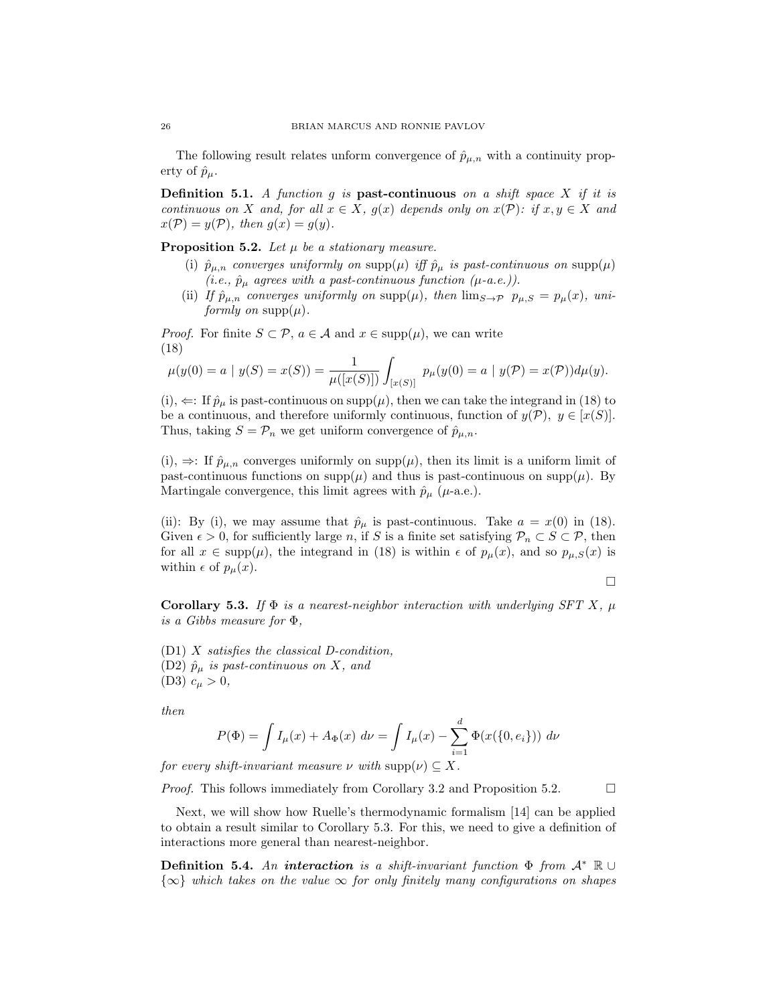The following result relates unform convergence of  $\hat{p}_{\mu,n}$  with a continuity property of  $\hat{p}_{\mu}$ .

**Definition 5.1.** *A function g is* **past-continuous** *on a shift space X if it is continuous on X and, for all*  $x \in X$ *, g(x) depends only on*  $x(\mathcal{P})$ *: if*  $x, y \in X$  *and*  $x(\mathcal{P}) = y(\mathcal{P})$ , then  $g(x) = g(y)$ .

**Proposition 5.2.** *Let µ be a stationary measure.*

- (i)  $\hat{p}_{\mu,n}$  *converges uniformly on* supp $(\mu)$  *iff*  $\hat{p}_{\mu}$  *is past-continuous on* supp $(\mu)$ *(i.e.,*  $\hat{p}_{\mu}$  *agrees with a past-continuous function (* $\mu$ *-a.e.)).*
- (ii) *If*  $\hat{p}_{\mu,n}$  *converges uniformly on* supp $(\mu)$ *, then*  $\lim_{S\to\mathcal{P}} p_{\mu,S} = p_{\mu}(x)$ *, uniformly on*  $supp(\mu)$ *.*

*Proof.* For finite  $S \subset \mathcal{P}$ ,  $a \in \mathcal{A}$  and  $x \in \text{supp}(\mu)$ , we can write (18)

$$
\mu(y(0) = a \mid y(S) = x(S)) = \frac{1}{\mu([x(S)])} \int_{[x(S)]} p_{\mu}(y(0) = a \mid y(\mathcal{P}) = x(\mathcal{P})) d\mu(y).
$$

 $(i)$ ,  $\Leftarrow$ : If  $\hat{p}_{\mu}$  is past-continuous on supp $(\mu)$ , then we can take the integrand in (18) to be a continuous, and therefore uniformly continuous, function of  $y(\mathcal{P})$ ,  $y \in [x(S)]$ . Thus, taking  $S = \mathcal{P}_n$  we get uniform convergence of  $\hat{p}_{\mu,n}$ .

(i),  $\Rightarrow$ : If  $\hat{p}_{\mu,n}$  converges uniformly on supp( $\mu$ ), then its limit is a uniform limit of past-continuous functions on  $\text{supp}(\mu)$  and thus is past-continuous on  $\text{supp}(\mu)$ . By Martingale convergence, this limit agrees with  $\hat{p}_{\mu}$  ( $\mu$ -a.e.).

(ii): By (i), we may assume that  $\hat{p}_{\mu}$  is past-continuous. Take  $a = x(0)$  in (18). Given  $\epsilon > 0$ , for sufficiently large *n*, if *S* is a finite set satisfying  $\mathcal{P}_n \subset S \subset \mathcal{P}$ , then for all  $x \in \text{supp}(\mu)$ , the integrand in (18) is within  $\epsilon$  of  $p_{\mu}(x)$ , and so  $p_{\mu,S}(x)$  is within  $\epsilon$  of  $p_\mu(x)$ .

$$
\Box
$$

**Corollary 5.3.** *If*  $\Phi$  *is a nearest-neighbor interaction with underlying SFT X,*  $\mu$ *is a Gibbs measure for* Φ*,*

(D1) *X satisfies the classical D-condition,* (D2)  $\hat{p}_{\mu}$  *is past-continuous on X, and*  $(D3)$   $c_{\mu} > 0$ ,

*then*

$$
P(\Phi) = \int I_{\mu}(x) + A_{\Phi}(x) \, d\nu = \int I_{\mu}(x) - \sum_{i=1}^{d} \Phi(x(\{0, e_i\})) \, d\nu
$$

*for every shift-invariant measure*  $\nu$  *with*  $\text{supp}(\nu) \subseteq X$ .

*Proof.* This follows immediately from Corollary 3.2 and Proposition 5.2.

Next, we will show how Ruelle's thermodynamic formalism [14] can be applied to obtain a result similar to Corollary 5.3. For this, we need to give a definition of interactions more general than nearest-neighbor.

**Definition 5.4.** *An interaction is a shift-invariant function* Φ *from A<sup>∗</sup>* R *∪ {∞} which takes on the value ∞ for only finitely many configurations on shapes*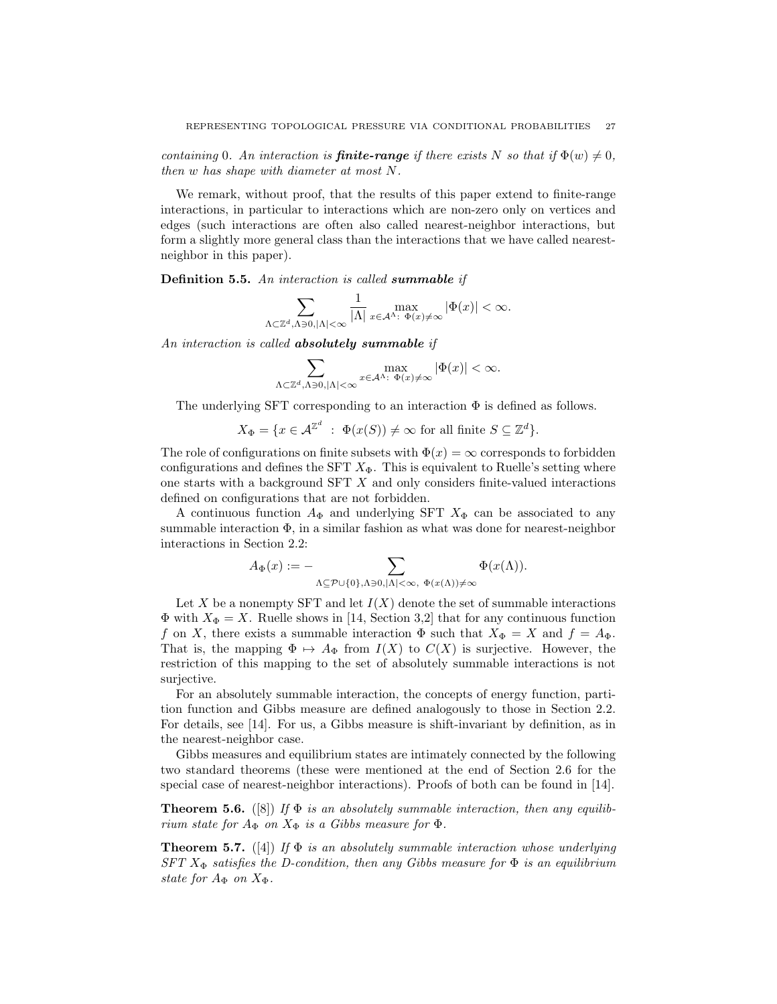*containing* 0*. An interaction is finite-range if there exists N so that* if  $\Phi(w) \neq 0$ , *then w has shape with diameter at most N.*

We remark, without proof, that the results of this paper extend to finite-range interactions, in particular to interactions which are non-zero only on vertices and edges (such interactions are often also called nearest-neighbor interactions, but form a slightly more general class than the interactions that we have called nearestneighbor in this paper).

**Definition 5.5.** *An interaction is called summable if*

$$
\sum_{\Lambda\subset\mathbb{Z}^d, \Lambda\ni 0, |\Lambda|<\infty} \frac{1}{|\Lambda|} \max_{x\in\mathcal{A}^\Lambda:\ \Phi(x)\neq\infty} |\Phi(x)|<\infty.
$$

*An interaction is called absolutely summable if*

$$
\sum_{\Lambda \subset \mathbb{Z}^d, \Lambda \ni 0, |\Lambda| < \infty} \max_{x \in \mathcal{A}^\Lambda: \ \Phi(x) \neq \infty} |\Phi(x)| < \infty.
$$

The underlying SFT corresponding to an interaction  $\Phi$  is defined as follows.

 $X_{\Phi} = \{ x \in \mathcal{A}^{\mathbb{Z}^d} \; : \; \Phi(x(S)) \neq \infty \text{ for all finite } S \subseteq \mathbb{Z}^d \}.$ 

The role of configurations on finite subsets with  $\Phi(x) = \infty$  corresponds to forbidden configurations and defines the SFT  $X_{\Phi}$ . This is equivalent to Ruelle's setting where one starts with a background SFT *X* and only considers finite-valued interactions defined on configurations that are not forbidden.

A continuous function  $A_{\Phi}$  and underlying SFT  $X_{\Phi}$  can be associated to any summable interaction  $\Phi$ , in a similar fashion as what was done for nearest-neighbor interactions in Section 2.2:

$$
A_{\Phi}(x) := - \sum_{\Lambda \subseteq \mathcal{P} \cup \{0\}, \Lambda \ni 0, |\Lambda| < \infty, \ \Phi(x(\Lambda)) \neq \infty} \Phi(x(\Lambda)).
$$

Let X be a nonempty SFT and let  $I(X)$  denote the set of summable interactions  $Φ$  with  $X<sub>Φ</sub> = X$ . Ruelle shows in [14, Section 3,2] that for any continuous function *f* on *X*, there exists a summable interaction  $\Phi$  such that  $X_{\Phi} = X$  and  $f = A_{\Phi}$ . That is, the mapping  $\Phi \mapsto A_{\Phi}$  from  $I(X)$  to  $C(X)$  is surjective. However, the restriction of this mapping to the set of absolutely summable interactions is not surjective.

For an absolutely summable interaction, the concepts of energy function, partition function and Gibbs measure are defined analogously to those in Section 2.2. For details, see [14]. For us, a Gibbs measure is shift-invariant by definition, as in the nearest-neighbor case.

Gibbs measures and equilibrium states are intimately connected by the following two standard theorems (these were mentioned at the end of Section 2.6 for the special case of nearest-neighbor interactions). Proofs of both can be found in [14].

**Theorem 5.6.** ([8]) *If*  $\Phi$  *is an absolutely summable interaction, then any equilibrium state for*  $A_{\Phi}$  *on*  $X_{\Phi}$  *is a Gibbs measure for*  $\Phi$ *.* 

**Theorem 5.7.** ([4]) *If* Φ *is an absolutely summable interaction whose underlying SFT*  $X_{\Phi}$  *satisfies the D-condition, then any Gibbs measure for*  $\Phi$  *is an equilibrium state for*  $A_{\Phi}$  *on*  $X_{\Phi}$ *.*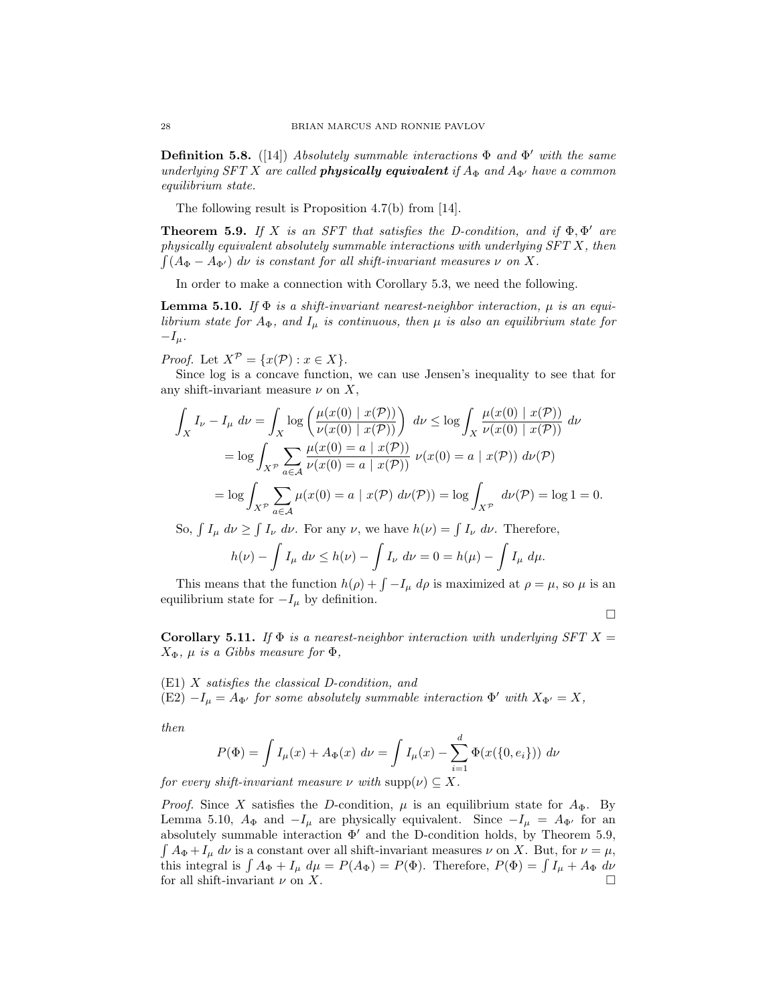**Definition 5.8.** ([14]) *Absolutely summable interactions* Φ *and* Φ *′ with the same underlying SFT X are called physically equivalent if*  $A_{\Phi}$  *and*  $A_{\Phi'}$  *have a common equilibrium state.*

The following result is Proposition 4.7(b) from [14].

**Theorem 5.9.** *If*  $X$  *is an SFT that satisfies the D-condition, and if*  $\Phi$ ,  $\Phi'$  *are physically equivalent absolutely summable interactions with underlying SFT X, then*  $\int (A_{\Phi} - A_{\Phi'}) d\nu$  *is constant for all shift-invariant measures*  $\nu$  *on*  $X$ *.* 

In order to make a connection with Corollary 5.3, we need the following.

**Lemma 5.10.** *If*  $\Phi$  *is a shift-invariant nearest-neighbor interaction, μ is an equilibrium state for*  $A_{\Phi}$ *, and*  $I_{\mu}$  *is continuous, then*  $\mu$  *is also an equilibrium state for −Iµ.*

*Proof.* Let  $X^{\mathcal{P}} = \{x(\mathcal{P}) : x \in X\}.$ 

Since log is a concave function, we can use Jensen's inequality to see that for any shift-invariant measure  $\nu$  on  $X$ ,

$$
\int_X I_{\nu} - I_{\mu} d\nu = \int_X \log \left( \frac{\mu(x(0) \mid x(\mathcal{P}))}{\nu(x(0) \mid x(\mathcal{P}))} \right) d\nu \le \log \int_X \frac{\mu(x(0) \mid x(\mathcal{P}))}{\nu(x(0) \mid x(\mathcal{P}))} d\nu
$$

$$
= \log \int_{X^{\mathcal{P}}} \sum_{a \in \mathcal{A}} \frac{\mu(x(0) = a \mid x(\mathcal{P}))}{\nu(x(0) = a \mid x(\mathcal{P}))} \nu(x(0) = a \mid x(\mathcal{P})) d\nu(\mathcal{P})
$$

$$
= \log \int_{X^{\mathcal{P}}} \sum_{a \in \mathcal{A}} \mu(x(0) = a \mid x(\mathcal{P}) d\nu(\mathcal{P})) = \log \int_{X^{\mathcal{P}}} d\nu(\mathcal{P}) = \log 1 = 0.
$$

So,  $\int I_{\mu} d\nu \ge \int I_{\nu} d\nu$ . For any  $\nu$ , we have  $h(\nu) = \int I_{\nu} d\nu$ . Therefore,

$$
h(\nu) - \int I_{\mu} d\nu \le h(\nu) - \int I_{\nu} d\nu = 0 = h(\mu) - \int I_{\mu} d\mu.
$$

This means that the function  $h(\rho) + \int -I_{\mu} d\rho$  is maximized at  $\rho = \mu$ , so  $\mu$  is an equilibrium state for  $-I_\mu$  by definition.

 $\Box$ 

**Corollary 5.11.** *If*  $\Phi$  *is a nearest-neighbor interaction with underlying SFT*  $X =$ *X*<sup> $\Phi$ </sup>*, µ is a Gibbs measure for*  $\Phi$ *,* 

(E1) *X satisfies the classical D-condition, and* (E2)  $-I_{\mu} = A_{\Phi'}$  for some absolutely summable interaction  $\Phi'$  with  $X_{\Phi'} = X$ ,

*then*

$$
P(\Phi) = \int I_{\mu}(x) + A_{\Phi}(x) \, d\nu = \int I_{\mu}(x) - \sum_{i=1}^{d} \Phi(x(\{0, e_i\})) \, d\nu
$$

*for every shift-invariant measure*  $\nu$  *with*  $\text{supp}(\nu) \subset X$ .

*Proof.* Since *X* satisfies the *D*-condition,  $\mu$  is an equilibrium state for  $A_{\Phi}$ . By Lemma 5.10,  $A_{\Phi}$  and  $-I_{\mu}$  are physically equivalent. Since  $-I_{\mu} = A_{\Phi'}$  for an absolutely summable interaction  $\Phi'$  and the D-condition holds, by Theorem 5.9,  $\int A_{\Phi} + I_{\mu} d\nu$  is a constant over all shift-invariant measures  $\nu$  on *X*. But, for  $\nu = \mu$ , this integral is  $\int A_{\Phi} + I_{\mu} d\mu = P(A_{\Phi}) = P(\Phi)$ . Therefore,  $P(\Phi) = \int I_{\mu} + A_{\Phi} d\nu$ for all shift-invariant *ν* on *X*.